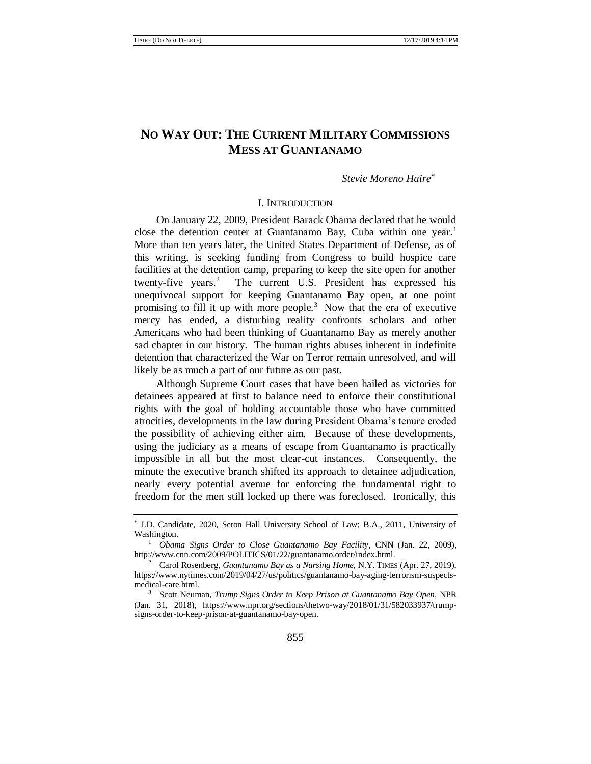# **NO WAY OUT: THE CURRENT MILITARY COMMISSIONS MESS AT GUANTANAMO**

## <span id="page-0-0"></span>*Stevie Moreno Haire\**

### I. INTRODUCTION

On January 22, 2009, President Barack Obama declared that he would close the detention center at Guantanamo Bay, Cuba within one year.<sup>1</sup> More than ten years later, the United States Department of Defense, as of this writing, is seeking funding from Congress to build hospice care facilities at the detention camp, preparing to keep the site open for another twenty-five years. $2$  The current U.S. President has expressed his unequivocal support for keeping Guantanamo Bay open, at one point promising to fill it up with more people.<sup>3</sup> Now that the era of executive mercy has ended, a disturbing reality confronts scholars and other Americans who had been thinking of Guantanamo Bay as merely another sad chapter in our history. The human rights abuses inherent in indefinite detention that characterized the War on Terror remain unresolved, and will likely be as much a part of our future as our past.

Although Supreme Court cases that have been hailed as victories for detainees appeared at first to balance need to enforce their constitutional rights with the goal of holding accountable those who have committed atrocities, developments in the law during President Obama's tenure eroded the possibility of achieving either aim. Because of these developments, using the judiciary as a means of escape from Guantanamo is practically impossible in all but the most clear-cut instances. Consequently, the minute the executive branch shifted its approach to detainee adjudication, nearly every potential avenue for enforcing the fundamental right to freedom for the men still locked up there was foreclosed. Ironically, this

<sup>\*</sup> J.D. Candidate, 2020, Seton Hall University School of Law; B.A., 2011, University of Washington.

<sup>1</sup> *Obama Signs Order to Close Guantanamo Bay Facility*, CNN (Jan. 22, 2009), http://www.cnn.com/2009/POLITICS/01/22/guantanamo.order/index.html.

<sup>2</sup> Carol Rosenberg, *Guantanamo Bay as a Nursing Home*, N.Y. TIMES (Apr. 27, 2019), https://www.nytimes.com/2019/04/27/us/politics/guantanamo-bay-aging-terrorism-suspectsmedical-care.html.

<sup>3</sup> Scott Neuman, *Trump Signs Order to Keep Prison at Guantanamo Bay Open*, NPR (Jan. 31, 2018), https://www.npr.org/sections/thetwo-way/2018/01/31/582033937/trumpsigns-order-to-keep-prison-at-guantanamo-bay-open.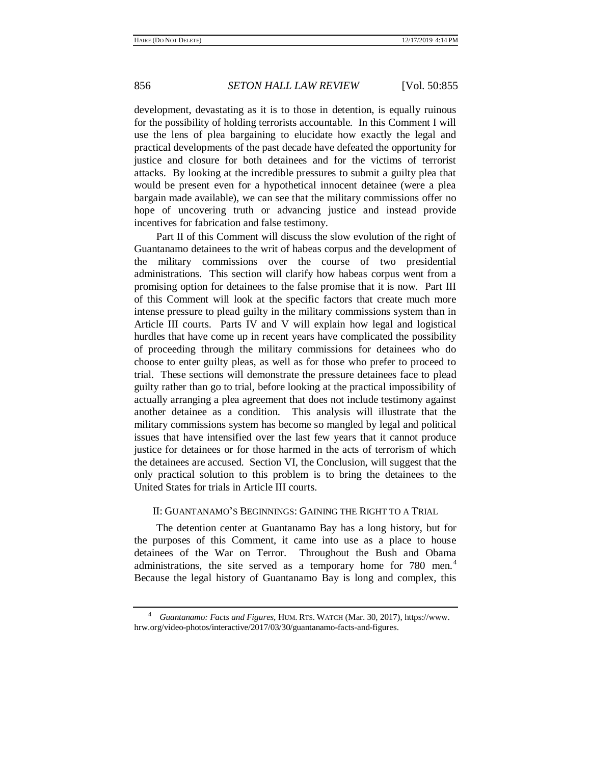development, devastating as it is to those in detention, is equally ruinous for the possibility of holding terrorists accountable. In this Comment I will use the lens of plea bargaining to elucidate how exactly the legal and practical developments of the past decade have defeated the opportunity for justice and closure for both detainees and for the victims of terrorist attacks. By looking at the incredible pressures to submit a guilty plea that would be present even for a hypothetical innocent detainee (were a plea bargain made available), we can see that the military commissions offer no hope of uncovering truth or advancing justice and instead provide incentives for fabrication and false testimony.

Part II of this Comment will discuss the slow evolution of the right of Guantanamo detainees to the writ of habeas corpus and the development of the military commissions over the course of two presidential administrations. This section will clarify how habeas corpus went from a promising option for detainees to the false promise that it is now. Part III of this Comment will look at the specific factors that create much more intense pressure to plead guilty in the military commissions system than in Article III courts. Parts IV and V will explain how legal and logistical hurdles that have come up in recent years have complicated the possibility of proceeding through the military commissions for detainees who do choose to enter guilty pleas, as well as for those who prefer to proceed to trial. These sections will demonstrate the pressure detainees face to plead guilty rather than go to trial, before looking at the practical impossibility of actually arranging a plea agreement that does not include testimony against another detainee as a condition. This analysis will illustrate that the military commissions system has become so mangled by legal and political issues that have intensified over the last few years that it cannot produce justice for detainees or for those harmed in the acts of terrorism of which the detainees are accused. Section VI, the Conclusion, will suggest that the only practical solution to this problem is to bring the detainees to the United States for trials in Article III courts.

## II: GUANTANAMO'S BEGINNINGS: GAINING THE RIGHT TO A TRIAL

The detention center at Guantanamo Bay has a long history, but for the purposes of this Comment, it came into use as a place to house detainees of the War on Terror. Throughout the Bush and Obama administrations, the site served as a temporary home for 780 men.<sup>4</sup> Because the legal history of Guantanamo Bay is long and complex, this

<sup>4</sup> *Guantanamo: Facts and Figures*, HUM. RTS. WATCH (Mar. 30, 2017), https://www. hrw.org/video-photos/interactive/2017/03/30/guantanamo-facts-and-figures.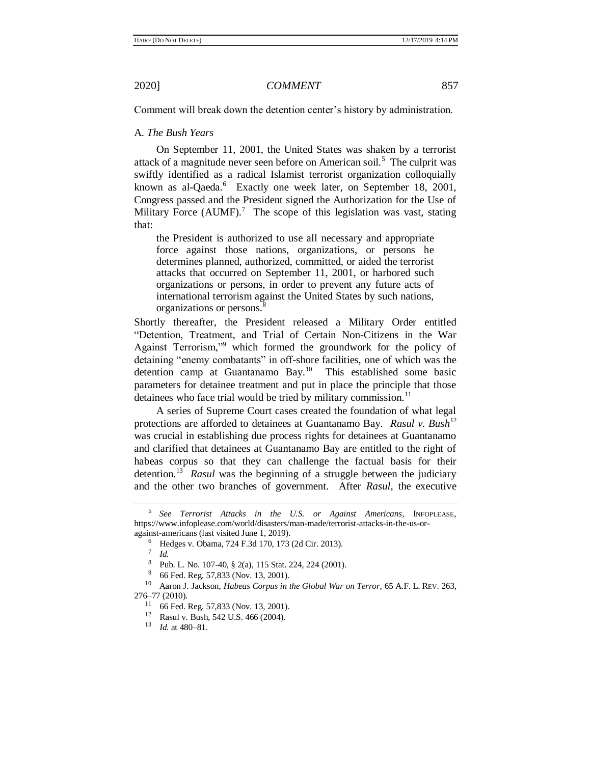Comment will break down the detention center's history by administration.

## A. *The Bush Years*

On September 11, 2001, the United States was shaken by a terrorist attack of a magnitude never seen before on American soil.<sup>5</sup> The culprit was swiftly identified as a radical Islamist terrorist organization colloquially known as al-Qaeda.<sup>6</sup> Exactly one week later, on September 18, 2001, Congress passed and the President signed the Authorization for the Use of Military Force (AUMF).<sup>7</sup> The scope of this legislation was vast, stating that:

the President is authorized to use all necessary and appropriate force against those nations, organizations, or persons he determines planned, authorized, committed, or aided the terrorist attacks that occurred on September 11, 2001, or harbored such organizations or persons, in order to prevent any future acts of international terrorism against the United States by such nations, organizations or persons.<sup>8</sup>

Shortly thereafter, the President released a Military Order entitled "Detention, Treatment, and Trial of Certain Non-Citizens in the War Against Terrorism,"<sup>9</sup> which formed the groundwork for the policy of detaining "enemy combatants" in off-shore facilities, one of which was the detention camp at Guantanamo Bay.<sup>10</sup> This established some basic parameters for detainee treatment and put in place the principle that those detainees who face trial would be tried by military commission.<sup>11</sup>

<span id="page-2-0"></span>A series of Supreme Court cases created the foundation of what legal protections are afforded to detainees at Guantanamo Bay. *Rasul v. Bush*<sup>12</sup> was crucial in establishing due process rights for detainees at Guantanamo and clarified that detainees at Guantanamo Bay are entitled to the right of habeas corpus so that they can challenge the factual basis for their detention.<sup>13</sup> Rasul was the beginning of a struggle between the judiciary and the other two branches of government. After *Rasul*, the executive

<sup>5</sup> *See Terrorist Attacks in the U.S. or Against Americans*, INFOPLEASE, https://www.infoplease.com/world/disasters/man-made/terrorist-attacks-in-the-us-oragainst-americans (last visited June 1, 2019).

<sup>6</sup> Hedges v. Obama, 724 F.3d 170, 173 (2d Cir. 2013).

<sup>7</sup> *Id.*

<sup>8</sup> Pub. L. No. 107-40, § 2(a), 115 Stat. 224, 224 (2001).

 $9\,$  66 Fed. Reg. 57,833 (Nov. 13, 2001).

<sup>10</sup> Aaron J. Jackson, *Habeas Corpus in the Global War on Terror*, 65 A.F. L. REV. 263, 276–77 (2010).

<sup>11</sup> 66 Fed. Reg. 57,833 (Nov. 13, 2001).

<sup>12</sup> Rasul v. Bush, 542 U.S. 466 (2004).

<sup>13</sup> *Id.* at 480–81.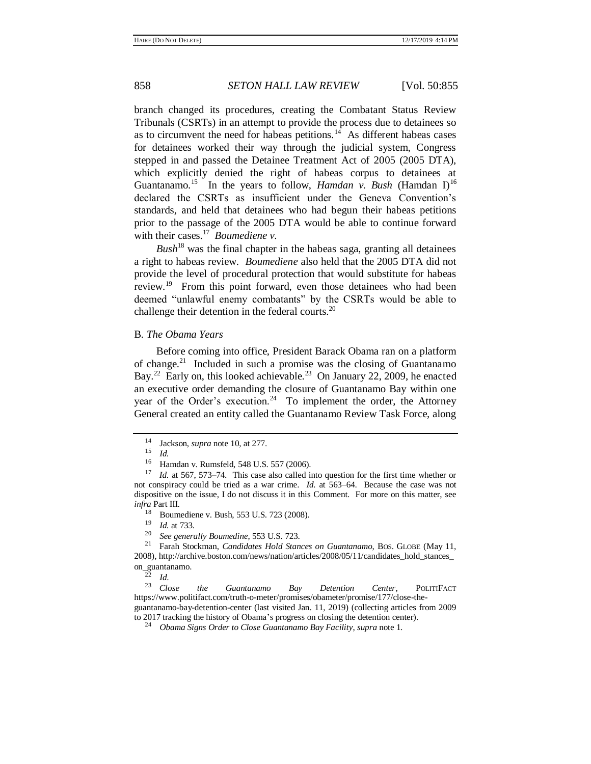branch changed its procedures, creating the Combatant Status Review Tribunals (CSRTs) in an attempt to provide the process due to detainees so as to circumvent the need for habeas petitions. $14$  As different habeas cases for detainees worked their way through the judicial system, Congress stepped in and passed the Detainee Treatment Act of 2005 (2005 DTA), which explicitly denied the right of habeas corpus to detainees at Guantanamo.<sup>15</sup> In the years to follow, *Hamdan v. Bush* (Hamdan I)<sup>16</sup> declared the CSRTs as insufficient under the Geneva Convention's standards, and held that detainees who had begun their habeas petitions prior to the passage of the 2005 DTA would be able to continue forward with their cases.<sup>17</sup> Boumediene v.

 $Bush^{18}$  was the final chapter in the habeas saga, granting all detainees a right to habeas review. *Boumediene* also held that the 2005 DTA did not provide the level of procedural protection that would substitute for habeas review.<sup>19</sup> From this point forward, even those detainees who had been deemed "unlawful enemy combatants" by the CSRTs would be able to challenge their detention in the federal courts.<sup>20</sup>

## B. *The Obama Years*

Before coming into office, President Barack Obama ran on a platform of change.<sup>21</sup> Included in such a promise was the closing of Guantanamo Bay.<sup>22</sup> Early on, this looked achievable.<sup>23</sup> On January 22, 2009, he enacted an executive order demanding the closure of Guantanamo Bay within one year of the Order's execution.<sup>24</sup> To implement the order, the Attorney General created an entity called the Guantanamo Review Task Force, along

 $\frac{19}{20}$  *Id.* at 733.

<sup>22</sup> *Id*.

<sup>23</sup> *Close the Guantanamo Bay Detention Center*, POLITIFACT https://www.politifact.com/truth-o-meter/promises/obameter/promise/177/close-theguantanamo-bay-detention-center (last visited Jan. 11, 2019) (collecting articles from 2009 to 2017 tracking the history of Obama's progress on closing the detention center).

<sup>&</sup>lt;sup>14</sup> Jackson, *supra* not[e 10,](#page-2-0) at 277.

 $\frac{15}{16}$  *Id.* 

Hamdan v. Rumsfeld, 548 U.S. 557 (2006).

<sup>17</sup> *Id.* at 567, 573–74. This case also called into question for the first time whether or not conspiracy could be tried as a war crime. *Id.* at 563–64. Because the case was not dispositive on the issue, I do not discuss it in this Comment. For more on this matter, see *infra* Part III.

<sup>&</sup>lt;sup>18</sup> Boumediene v. Bush, 553 U.S. 723 (2008).

<sup>20</sup> *See generally Boumedine*, 553 U.S. 723.

<sup>21</sup> Farah Stockman, *Candidates Hold Stances on Guantanamo*, BOS. GLOBE (May 11, 2008), http://archive.boston.com/news/nation/articles/2008/05/11/candidates\_hold\_stances\_ on\_guantanamo.

<sup>24</sup> *Obama Signs Order to Close Guantanamo Bay Facility*, *supra* not[e 1.](#page-0-0)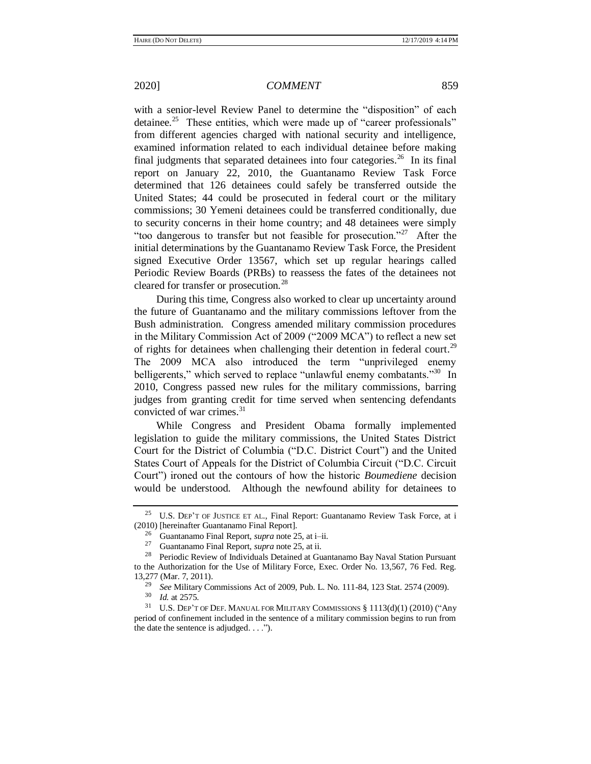<span id="page-4-0"></span>with a senior-level Review Panel to determine the "disposition" of each detainee.<sup>25</sup> These entities, which were made up of "career professionals" from different agencies charged with national security and intelligence, examined information related to each individual detainee before making final judgments that separated detainees into four categories.<sup>26</sup> In its final report on January 22, 2010, the Guantanamo Review Task Force determined that 126 detainees could safely be transferred outside the United States; 44 could be prosecuted in federal court or the military commissions; 30 Yemeni detainees could be transferred conditionally, due to security concerns in their home country; and 48 detainees were simply "too dangerous to transfer but not feasible for prosecution."<sup>27</sup> After the initial determinations by the Guantanamo Review Task Force, the President signed Executive Order 13567, which set up regular hearings called Periodic Review Boards (PRBs) to reassess the fates of the detainees not cleared for transfer or prosecution.<sup>28</sup>

During this time, Congress also worked to clear up uncertainty around the future of Guantanamo and the military commissions leftover from the Bush administration. Congress amended military commission procedures in the Military Commission Act of 2009 ("2009 MCA") to reflect a new set of rights for detainees when challenging their detention in federal court.<sup>29</sup> The 2009 MCA also introduced the term "unprivileged enemy belligerents," which served to replace "unlawful enemy combatants."<sup>30</sup> In 2010, Congress passed new rules for the military commissions, barring judges from granting credit for time served when sentencing defendants convicted of war crimes.<sup>31</sup>

While Congress and President Obama formally implemented legislation to guide the military commissions, the United States District Court for the District of Columbia ("D.C. District Court") and the United States Court of Appeals for the District of Columbia Circuit ("D.C. Circuit Court") ironed out the contours of how the historic *Boumediene* decision would be understood. Although the newfound ability for detainees to

<sup>&</sup>lt;sup>25</sup> U.S. DEP'T OF JUSTICE ET AL., Final Report: Guantanamo Review Task Force, at i (2010) [hereinafter Guantanamo Final Report].

<sup>26</sup> Guantanamo Final Report, *supra* not[e 25,](#page-4-0) at i–ii.

<sup>27</sup> Guantanamo Final Report, *supra* not[e 25,](#page-4-0) at ii.

Periodic Review of Individuals Detained at Guantanamo Bay Naval Station Pursuant to the Authorization for the Use of Military Force, Exec. Order No. 13,567, 76 Fed. Reg. 13,277 (Mar. 7, 2011).

<sup>&</sup>lt;sup>29</sup> *See* Military Commissions Act of 2009, Pub. L. No. 111-84, 123 Stat. 2574 (2009).

*Id.* at 2575.

<sup>31</sup> U.S. DEP'T OF DEF. MANUAL FOR MILITARY COMMISSIONS § 1113(d)(1) (2010) ("Any period of confinement included in the sentence of a military commission begins to run from the date the sentence is adjudged. . . .").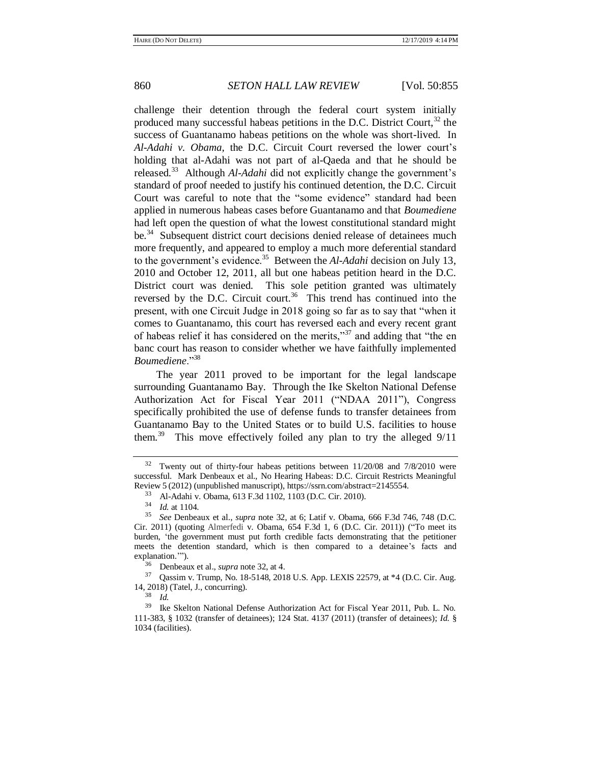<span id="page-5-0"></span>

challenge their detention through the federal court system initially produced many successful habeas petitions in the D.C. District Court,  $32$  the success of Guantanamo habeas petitions on the whole was short-lived. In *Al-Adahi v. Obama*, the D.C. Circuit Court reversed the lower court's holding that al-Adahi was not part of al-Qaeda and that he should be released.<sup>33</sup> Although *Al-Adahi* did not explicitly change the government's standard of proof needed to justify his continued detention, the D.C. Circuit Court was careful to note that the "some evidence" standard had been applied in numerous habeas cases before Guantanamo and that *Boumediene*  had left open the question of what the lowest constitutional standard might be.<sup>34</sup> Subsequent district court decisions denied release of detainees much more frequently, and appeared to employ a much more deferential standard to the government's evidence.<sup>35</sup> Between the *Al-Adahi* decision on July 13, 2010 and October 12, 2011, all but one habeas petition heard in the D.C. District court was denied. This sole petition granted was ultimately reversed by the D.C. Circuit court.<sup>36</sup> This trend has continued into the present, with one Circuit Judge in 2018 going so far as to say that "when it comes to Guantanamo, this court has reversed each and every recent grant of habeas relief it has considered on the merits,"<sup>37</sup> and adding that "the en banc court has reason to consider whether we have faithfully implemented *Boumediene*."<sup>38</sup>

The year 2011 proved to be important for the legal landscape surrounding Guantanamo Bay. Through the Ike Skelton National Defense Authorization Act for Fiscal Year 2011 ("NDAA 2011"), Congress specifically prohibited the use of defense funds to transfer detainees from Guantanamo Bay to the United States or to build U.S. facilities to house them.<sup>39</sup> This move effectively foiled any plan to try the alleged  $9/11$ 

 $32$  Twenty out of thirty-four habeas petitions between 11/20/08 and 7/8/2010 were successful. Mark Denbeaux et al., No Hearing Habeas: D.C. Circuit Restricts Meaningful Review 5 (2012) (unpublished manuscript), https://ssrn.com/abstract=2145554.

<sup>33</sup> Al-Adahi v. Obama, 613 F.3d 1102, 1103 (D.C. Cir. 2010).

 $\frac{34}{35}$  *Id.* at 1104.

<sup>35</sup> *See* Denbeaux et al., *supra* note [32,](#page-5-0) at 6; Latif v. Obama, 666 F.3d 746, 748 (D.C. Cir. 2011) (quoting Almerfedi v. Obama, 654 F.3d 1, 6 (D.C. Cir. 2011)) ("To meet its burden, 'the government must put forth credible facts demonstrating that the petitioner meets the detention standard, which is then compared to a detainee's facts and explanation.'").

<sup>36</sup> Denbeaux et al., *supra* not[e 32,](#page-5-0) at 4.

<sup>37</sup> Qassim v. Trump, No. 18-5148, 2018 U.S. App. LEXIS 22579, at \*4 (D.C. Cir. Aug. 14, 2018) (Tatel, J., concurring).

<sup>38</sup> *Id.*

<sup>39</sup> Ike Skelton National Defense Authorization Act for Fiscal Year 2011, Pub. L. No. 111-383, § 1032 (transfer of detainees); 124 Stat. 4137 (2011) (transfer of detainees); *Id.* § 1034 (facilities).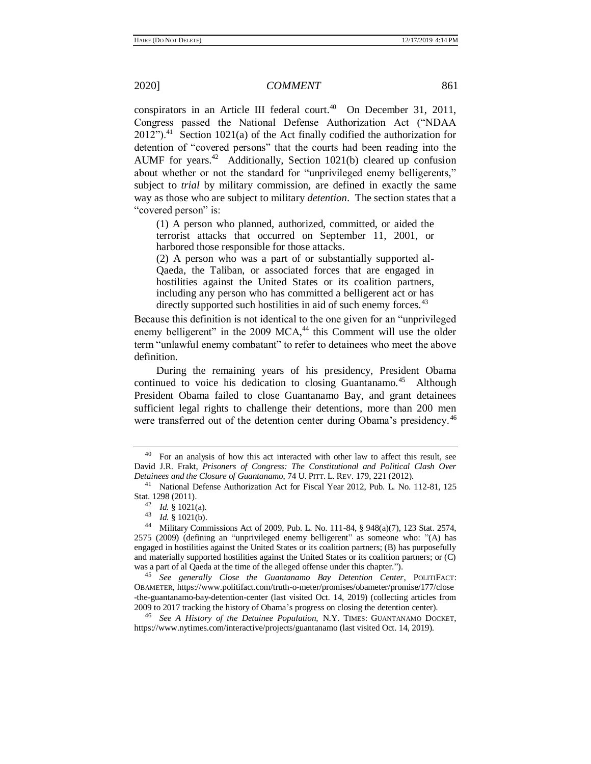conspirators in an Article III federal court.<sup>40</sup> On December 31, 2011, Congress passed the National Defense Authorization Act ("NDAA  $2012$ ").<sup>41</sup> Section 1021(a) of the Act finally codified the authorization for detention of "covered persons" that the courts had been reading into the AUMF for years.<sup>42</sup> Additionally, Section 1021(b) cleared up confusion about whether or not the standard for "unprivileged enemy belligerents," subject to *trial* by military commission, are defined in exactly the same way as those who are subject to military *detention*. The section states that a "covered person" is:

(1) A person who planned, authorized, committed, or aided the terrorist attacks that occurred on September 11, 2001, or harbored those responsible for those attacks.

(2) A person who was a part of or substantially supported al-Qaeda, the Taliban, or associated forces that are engaged in hostilities against the United States or its coalition partners, including any person who has committed a belligerent act or has directly supported such hostilities in aid of such enemy forces.<sup>43</sup>

Because this definition is not identical to the one given for an "unprivileged enemy belligerent" in the 2009 MCA,<sup>44</sup> this Comment will use the older term "unlawful enemy combatant" to refer to detainees who meet the above definition.

During the remaining years of his presidency, President Obama continued to voice his dedication to closing Guantanamo.<sup>45</sup> Although President Obama failed to close Guantanamo Bay, and grant detainees sufficient legal rights to challenge their detentions, more than 200 men were transferred out of the detention center during Obama's presidency.<sup>46</sup>

<span id="page-6-0"></span> $40$  For an analysis of how this act interacted with other law to affect this result, see David J.R. Frakt, *Prisoners of Congress: The Constitutional and Political Clash Over Detainees and the Closure of Guantanamo*, 74 U. PITT. L. REV. 179, 221 (2012).

<sup>41</sup> National Defense Authorization Act for Fiscal Year 2012, Pub. L. No. 112-81, 125 Stat. 1298 (2011).

<sup>42</sup> *Id.* § 1021(a).

<sup>43</sup> *Id.* § 1021(b).

<sup>44</sup> Military Commissions Act of 2009, Pub. L. No. 111-84, § 948(a)(7), 123 Stat. 2574, 2575 (2009) (defining an "unprivileged enemy belligerent" as someone who: "(A) has engaged in hostilities against the United States or its coalition partners; (B) has purposefully and materially supported hostilities against the United States or its coalition partners; or (C) was a part of al Qaeda at the time of the alleged offense under this chapter.").

<sup>45</sup> *See generally Close the Guantanamo Bay Detention Center*, POLITIFACT: OBAMETER, https://www.politifact.com/truth-o-meter/promises/obameter/promise/177/close -the-guantanamo-bay-detention-center (last visited Oct. 14, 2019) (collecting articles from 2009 to 2017 tracking the history of Obama's progress on closing the detention center).

<sup>46</sup> *See A History of the Detainee Population,* N.Y. TIMES: GUANTANAMO DOCKET, https://www.nytimes.com/interactive/projects/guantanamo (last visited Oct. 14, 2019).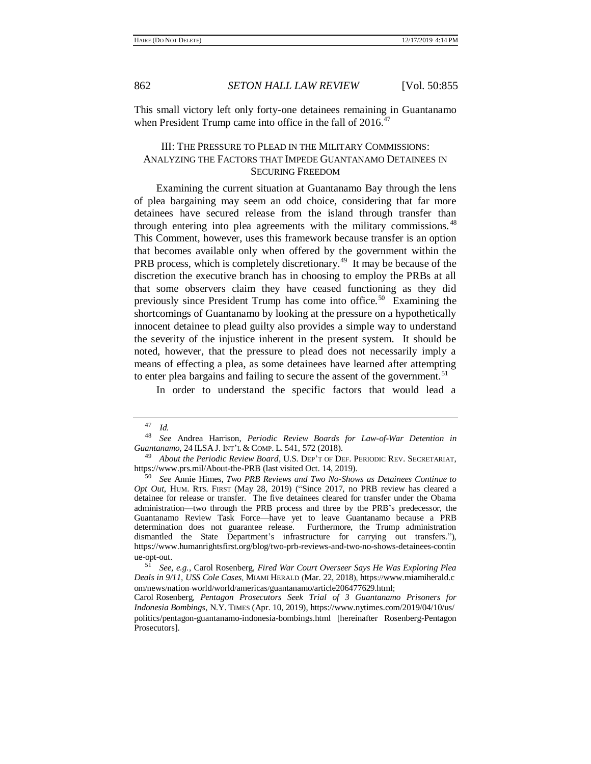This small victory left only forty-one detainees remaining in Guantanamo when President Trump came into office in the fall of 2016.<sup>47</sup>

## III: THE PRESSURE TO PLEAD IN THE MILITARY COMMISSIONS: ANALYZING THE FACTORS THAT IMPEDE GUANTANAMO DETAINEES IN SECURING FREEDOM

Examining the current situation at Guantanamo Bay through the lens of plea bargaining may seem an odd choice, considering that far more detainees have secured release from the island through transfer than through entering into plea agreements with the military commissions.<sup>48</sup> This Comment, however, uses this framework because transfer is an option that becomes available only when offered by the government within the PRB process, which is completely discretionary.<sup>49</sup> It may be because of the discretion the executive branch has in choosing to employ the PRBs at all that some observers claim they have ceased functioning as they did previously since President Trump has come into office.<sup>50</sup> Examining the shortcomings of Guantanamo by looking at the pressure on a hypothetically innocent detainee to plead guilty also provides a simple way to understand the severity of the injustice inherent in the present system. It should be noted, however, that the pressure to plead does not necessarily imply a means of effecting a plea, as some detainees have learned after attempting to enter plea bargains and failing to secure the assent of the government.<sup>51</sup>

<span id="page-7-0"></span>In order to understand the specific factors that would lead a

 $\frac{47}{48}$  *Id.* 

<sup>48</sup> *See* Andrea Harrison, *Periodic Review Boards for Law-of-War Detention in Guantanamo*, 24 ILSA J. INT'L & COMP. L. 541, 572 (2018).

<sup>&</sup>lt;sup>9</sup> *About the Periodic Review Board*, U.S. DEP'T OF DEF. PERIODIC REV. SECRETARIAT, https://www.prs.mil/About-the-PRB (last visited Oct. 14, 2019).

<sup>50</sup> *See* Annie Himes, *Two PRB Reviews and Two No-Shows as Detainees Continue to Opt Out*, HUM. RTS. FIRST (May 28, 2019) ("Since 2017, no PRB review has cleared a detainee for release or transfer. The five detainees cleared for transfer under the Obama administration—two through the PRB process and three by the PRB's predecessor, the Guantanamo Review Task Force—have yet to leave Guantanamo because a PRB determination does not guarantee release. Furthermore, the Trump administration dismantled the State Department's infrastructure for carrying out transfers."), https://www.humanrightsfirst.org/blog/two-prb-reviews-and-two-no-shows-detainees-contin ue-opt-out.

<sup>51</sup> *See, e.g.*, Carol Rosenberg, *Fired War Court Overseer Says He Was Exploring Plea Deals in 9/11, USS Cole Cases*, MIAMI HERALD (Mar. 22, 2018), https://www.miamiherald.c om/news/nation-world/world/americas/guantanamo/article206477629.html;

Carol Rosenberg, *Pentagon Prosecutors Seek Trial of 3 Guantanamo Prisoners for Indonesia Bombings*, N.Y. TIMES (Apr. 10, 2019), https://www.nytimes.com/2019/04/10/us/ politics/pentagon-guantanamo-indonesia-bombings.html [hereinafter Rosenberg-Pentagon Prosecutors].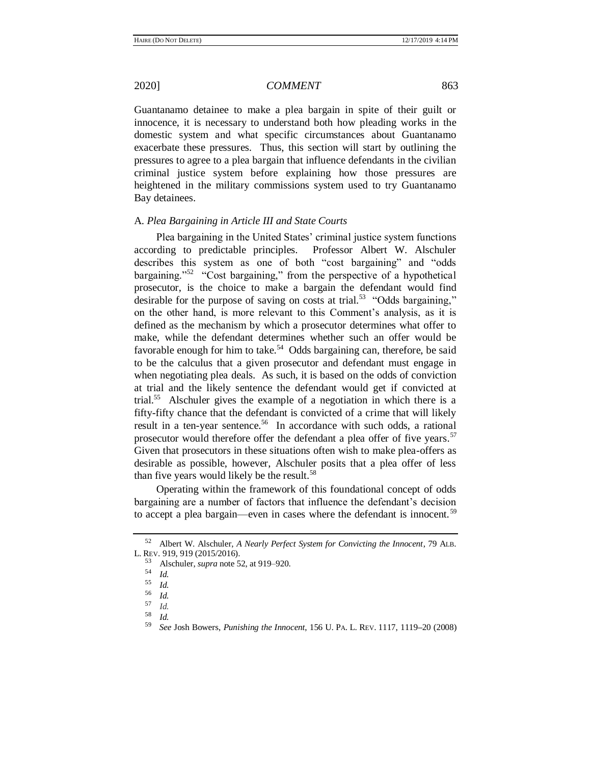Guantanamo detainee to make a plea bargain in spite of their guilt or innocence, it is necessary to understand both how pleading works in the domestic system and what specific circumstances about Guantanamo exacerbate these pressures. Thus, this section will start by outlining the pressures to agree to a plea bargain that influence defendants in the civilian criminal justice system before explaining how those pressures are heightened in the military commissions system used to try Guantanamo Bay detainees.

### A. *Plea Bargaining in Article III and State Courts*

<span id="page-8-0"></span>Plea bargaining in the United States' criminal justice system functions according to predictable principles. Professor Albert W. Alschuler describes this system as one of both "cost bargaining" and "odds bargaining."<sup>52</sup> "Cost bargaining," from the perspective of a hypothetical prosecutor, is the choice to make a bargain the defendant would find desirable for the purpose of saving on costs at trial.<sup>53</sup> "Odds bargaining," on the other hand, is more relevant to this Comment's analysis, as it is defined as the mechanism by which a prosecutor determines what offer to make, while the defendant determines whether such an offer would be favorable enough for him to take.<sup>54</sup> Odds bargaining can, therefore, be said to be the calculus that a given prosecutor and defendant must engage in when negotiating plea deals. As such, it is based on the odds of conviction at trial and the likely sentence the defendant would get if convicted at trial.<sup>55</sup> Alschuler gives the example of a negotiation in which there is a fifty-fifty chance that the defendant is convicted of a crime that will likely result in a ten-year sentence.<sup>56</sup> In accordance with such odds, a rational prosecutor would therefore offer the defendant a plea offer of five years.<sup>57</sup> Given that prosecutors in these situations often wish to make plea-offers as desirable as possible, however, Alschuler posits that a plea offer of less than five years would likely be the result.<sup>58</sup>

Operating within the framework of this foundational concept of odds bargaining are a number of factors that influence the defendant's decision to accept a plea bargain—even in cases where the defendant is innocent.<sup>59</sup>

<sup>52</sup> Albert W. Alschuler, *A Nearly Perfect System for Convicting the Innocent*, 79 ALB. L. REV. 919, 919 (2015/2016).

<span id="page-8-1"></span><sup>53</sup> Alschuler, *supra* not[e 52,](#page-8-0) at 919–920.

<sup>54</sup> *Id.*

<sup>55</sup> *Id.*

 $\frac{56}{57}$  *Id.* 

 $\begin{array}{cc} 57 & Id. \\ 58 & 11 \end{array}$ 

 $\frac{58}{59}$  *Id.* 

<sup>59</sup> *See* Josh Bowers, *Punishing the Innocent*, 156 U. PA. L. REV. 1117, 1119**–**20 (2008)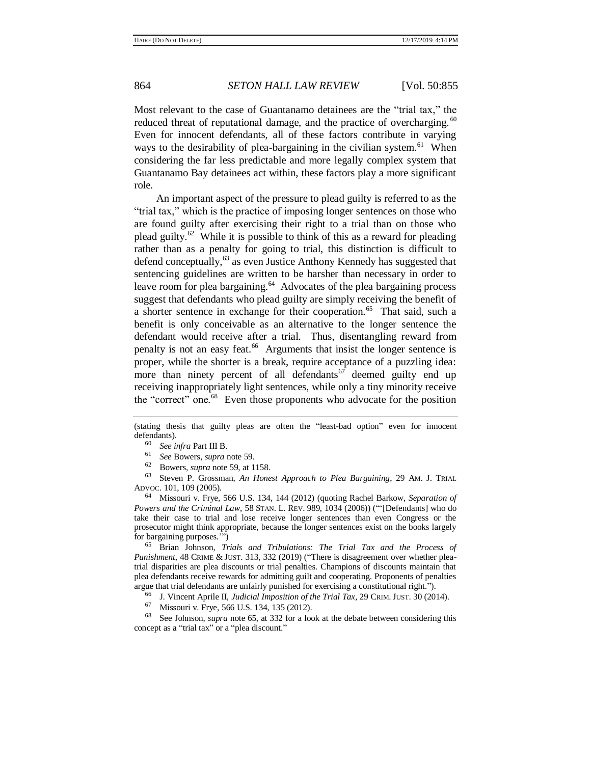Most relevant to the case of Guantanamo detainees are the "trial tax," the reduced threat of reputational damage, and the practice of overcharging.<sup>60</sup> Even for innocent defendants, all of these factors contribute in varying ways to the desirability of plea-bargaining in the civilian system.<sup>61</sup> When considering the far less predictable and more legally complex system that Guantanamo Bay detainees act within, these factors play a more significant role.

<span id="page-9-0"></span>An important aspect of the pressure to plead guilty is referred to as the "trial tax," which is the practice of imposing longer sentences on those who are found guilty after exercising their right to a trial than on those who plead guilty.<sup>62</sup> While it is possible to think of this as a reward for pleading rather than as a penalty for going to trial, this distinction is difficult to defend conceptually,  $63$  as even Justice Anthony Kennedy has suggested that sentencing guidelines are written to be harsher than necessary in order to leave room for plea bargaining.<sup>64</sup> Advocates of the plea bargaining process suggest that defendants who plead guilty are simply receiving the benefit of a shorter sentence in exchange for their cooperation.<sup>65</sup> That said, such a benefit is only conceivable as an alternative to the longer sentence the defendant would receive after a trial. Thus, disentangling reward from penalty is not an easy feat.<sup>66</sup> Arguments that insist the longer sentence is proper, while the shorter is a break, require acceptance of a puzzling idea: more than ninety percent of all defendants  $67$  deemed guilty end up receiving inappropriately light sentences, while only a tiny minority receive the "correct" one.<sup>68</sup> Even those proponents who advocate for the position

(stating thesis that guilty pleas are often the "least-bad option" even for innocent defendants).

<sup>63</sup> Steven P. Grossman, *An Honest Approach to Plea Bargaining*, 29 AM. J. TRIAL ADVOC. 101, 109 (2005).

<sup>64</sup> Missouri v. Frye, 566 U.S. 134, 144 (2012) (quoting Rachel Barkow, *Separation of Powers and the Criminal Law*, 58 STAN. L. REV. 989, 1034 (2006)) ("'[Defendants] who do take their case to trial and lose receive longer sentences than even Congress or the prosecutor might think appropriate, because the longer sentences exist on the books largely for bargaining purposes.'")

<sup>65</sup> Brian Johnson, *Trials and Tribulations: The Trial Tax and the Process of Punishment*, 48 CRIME & JUST. 313, 332 (2019) ("There is disagreement over whether pleatrial disparities are plea discounts or trial penalties. Champions of discounts maintain that plea defendants receive rewards for admitting guilt and cooperating. Proponents of penalties argue that trial defendants are unfairly punished for exercising a constitutional right.").

<sup>66</sup> J. Vincent Aprile II, *Judicial Imposition of the Trial Tax*, 29 CRIM.JUST. 30 (2014).

Missouri v. Frye, 566 U.S. 134, 135 (2012).

<sup>68</sup> See Johnson, *supra* not[e 65,](#page-9-0) at 332 for a look at the debate between considering this concept as a "trial tax" or a "plea discount."

<sup>60</sup> *See infra* Part III B.

<sup>61</sup> *See* Bowers, *supra* not[e 59.](#page-8-1)

<sup>62</sup> Bowers, *supra* note [59,](#page-8-1) at 1158.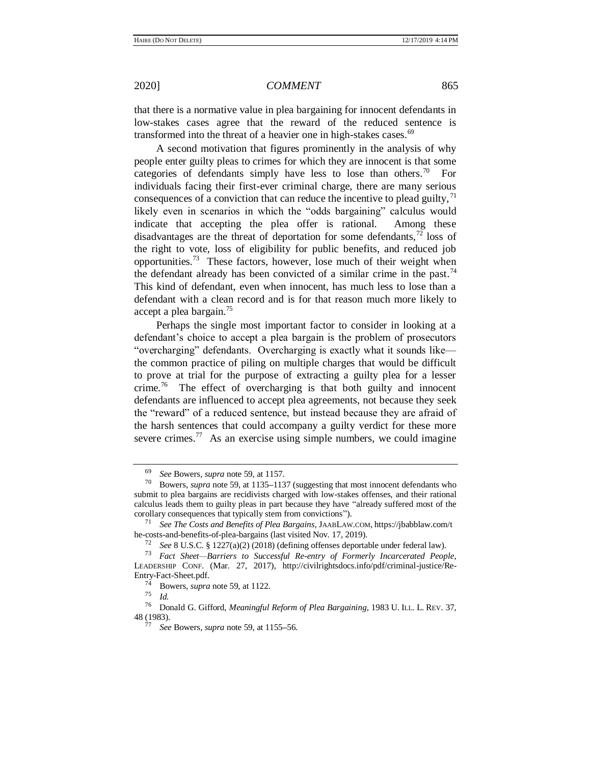that there is a normative value in plea bargaining for innocent defendants in low-stakes cases agree that the reward of the reduced sentence is transformed into the threat of a heavier one in high-stakes cases.<sup>69</sup>

A second motivation that figures prominently in the analysis of why people enter guilty pleas to crimes for which they are innocent is that some categories of defendants simply have less to lose than others.<sup>70</sup> For individuals facing their first-ever criminal charge, there are many serious consequences of a conviction that can reduce the incentive to plead guilty,  $^{71}$ likely even in scenarios in which the "odds bargaining" calculus would indicate that accepting the plea offer is rational. Among these disadvantages are the threat of deportation for some defendants,  $^{72}$  loss of the right to vote, loss of eligibility for public benefits, and reduced job opportunities.<sup>73</sup> These factors, however, lose much of their weight when the defendant already has been convicted of a similar crime in the past.<sup>74</sup> This kind of defendant, even when innocent, has much less to lose than a defendant with a clean record and is for that reason much more likely to accept a plea bargain.<sup>75</sup>

Perhaps the single most important factor to consider in looking at a defendant's choice to accept a plea bargain is the problem of prosecutors "overcharging" defendants. Overcharging is exactly what it sounds like the common practice of piling on multiple charges that would be difficult to prove at trial for the purpose of extracting a guilty plea for a lesser crime.<sup>76</sup> The effect of overcharging is that both guilty and innocent defendants are influenced to accept plea agreements, not because they seek the "reward" of a reduced sentence, but instead because they are afraid of the harsh sentences that could accompany a guilty verdict for these more severe crimes.<sup>77</sup> As an exercise using simple numbers, we could imagine

<sup>69</sup> *See* Bowers, *supra* not[e 59,](#page-8-1) at 1157.

<sup>70</sup> Bowers, *supra* note [59,](#page-8-1) at 1135**–**1137 (suggesting that most innocent defendants who submit to plea bargains are recidivists charged with low-stakes offenses, and their rational calculus leads them to guilty pleas in part because they have "already suffered most of the corollary consequences that typically stem from convictions").

<sup>71</sup> *See The Costs and Benefits of Plea Bargains*, JAABLAW.COM, https://jbabblaw.com/t he-costs-and-benefits-of-plea-bargains (last visited Nov. 17, 2019).

<sup>72</sup> *See* 8 U.S.C. § 1227(a)(2) (2018) (defining offenses deportable under federal law).

<sup>73</sup> *Fact Sheet—Barriers to Successful Re-entry of Formerly Incarcerated People*, LEADERSHIP CONF. (Mar. 27, 2017), http://civilrightsdocs.info/pdf/criminal-justice/Re-Entry-Fact-Sheet.pdf.

 $\frac{74}{75}$  Bowers, *supra* note [59,](#page-8-1) at 1122.

<sup>75</sup> *Id.*

<sup>76</sup> Donald G. Gifford, *Meaningful Reform of Plea Bargaining*, 1983 U. ILL. L. REV. 37, 48 (1983).

<sup>77</sup> *See* Bowers, *supra* not[e 59,](#page-8-1) at 1155*–*56.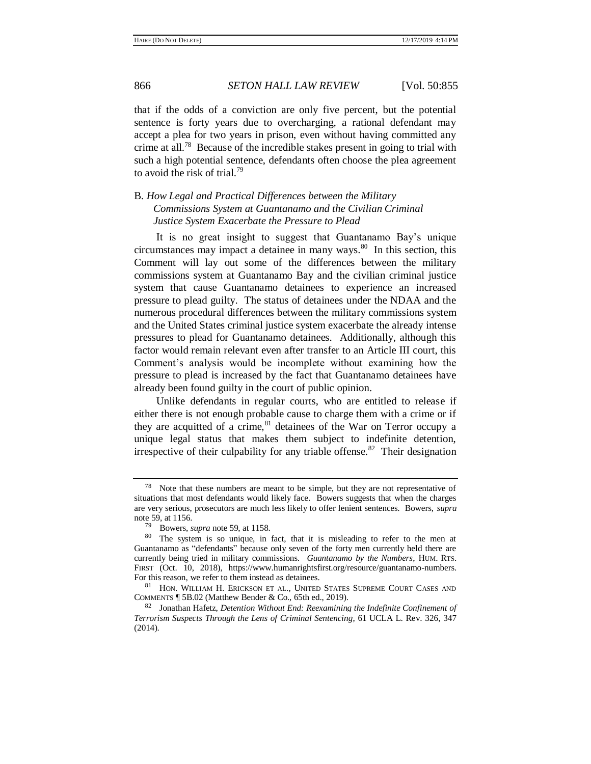that if the odds of a conviction are only five percent, but the potential sentence is forty years due to overcharging, a rational defendant may accept a plea for two years in prison, even without having committed any crime at all.<sup>78</sup> Because of the incredible stakes present in going to trial with such a high potential sentence, defendants often choose the plea agreement to avoid the risk of trial.<sup>79</sup>

B. *How Legal and Practical Differences between the Military Commissions System at Guantanamo and the Civilian Criminal Justice System Exacerbate the Pressure to Plead*

It is no great insight to suggest that Guantanamo Bay's unique  $circumstances$  may impact a detainee in many ways. $80$  In this section, this Comment will lay out some of the differences between the military commissions system at Guantanamo Bay and the civilian criminal justice system that cause Guantanamo detainees to experience an increased pressure to plead guilty. The status of detainees under the NDAA and the numerous procedural differences between the military commissions system and the United States criminal justice system exacerbate the already intense pressures to plead for Guantanamo detainees. Additionally, although this factor would remain relevant even after transfer to an Article III court, this Comment's analysis would be incomplete without examining how the pressure to plead is increased by the fact that Guantanamo detainees have already been found guilty in the court of public opinion.

Unlike defendants in regular courts, who are entitled to release if either there is not enough probable cause to charge them with a crime or if they are acquitted of a crime,  $81$  detainees of the War on Terror occupy a unique legal status that makes them subject to indefinite detention, irrespective of their culpability for any triable offense.<sup>82</sup> Their designation

<sup>78</sup> Note that these numbers are meant to be simple, but they are not representative of situations that most defendants would likely face. Bowers suggests that when the charges are very serious, prosecutors are much less likely to offer lenient sentences. Bowers, *supra* not[e 59,](#page-8-1) at 1156.

<span id="page-11-0"></span><sup>79</sup> Bowers, *supra* note [59,](#page-8-1) at 1158.

<sup>80</sup> The system is so unique, in fact, that it is misleading to refer to the men at Guantanamo as "defendants" because only seven of the forty men currently held there are currently being tried in military commissions. *Guantanamo by the Numbers*, HUM. RTS. FIRST (Oct. 10, 2018), https://www.humanrightsfirst.org/resource/guantanamo-numbers. For this reason, we refer to them instead as detainees.

<sup>81</sup> HON. WILLIAM H. ERICKSON ET AL., UNITED STATES SUPREME COURT CASES AND COMMENTS ¶ 5B.02 (Matthew Bender & Co., 65th ed., 2019).

<sup>82</sup> Jonathan Hafetz, *Detention Without End: Reexamining the Indefinite Confinement of Terrorism Suspects Through the Lens of Criminal Sentencing*, 61 UCLA L. Rev. 326, 347 (2014).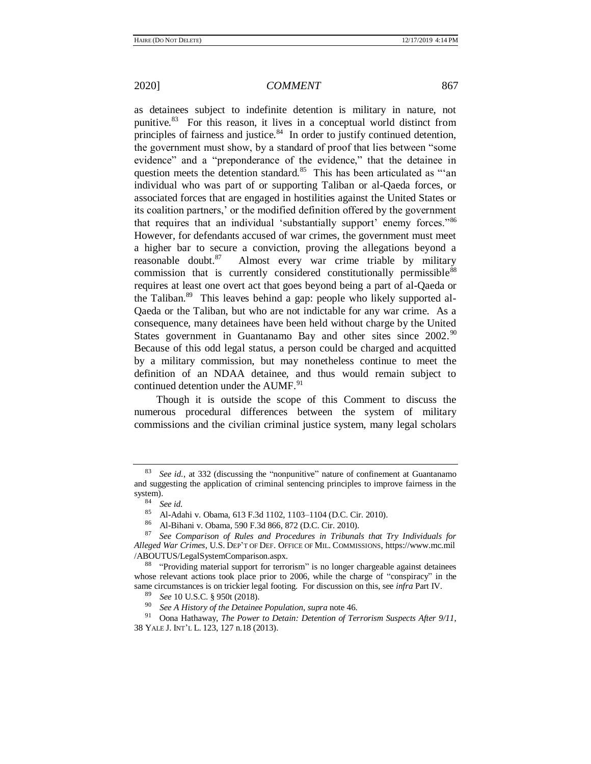as detainees subject to indefinite detention is military in nature, not punitive.<sup>83</sup> For this reason, it lives in a conceptual world distinct from principles of fairness and justice.<sup>84</sup> In order to justify continued detention, the government must show, by a standard of proof that lies between "some evidence" and a "preponderance of the evidence," that the detainee in question meets the detention standard.<sup>85</sup> This has been articulated as "'an individual who was part of or supporting Taliban or al-Qaeda forces, or associated forces that are engaged in hostilities against the United States or its coalition partners,' or the modified definition offered by the government that requires that an individual 'substantially support' enemy forces."<sup>86</sup> However, for defendants accused of war crimes, the government must meet a higher bar to secure a conviction, proving the allegations beyond a reasonable doubt.<sup>87</sup> Almost every war crime triable by military commission that is currently considered constitutionally permissible<sup>88</sup> requires at least one overt act that goes beyond being a part of al-Qaeda or the Taliban.<sup>89</sup> This leaves behind a gap: people who likely supported al-Qaeda or the Taliban, but who are not indictable for any war crime. As a consequence, many detainees have been held without charge by the United States government in Guantanamo Bay and other sites since 2002.<sup>90</sup> Because of this odd legal status, a person could be charged and acquitted by a military commission, but may nonetheless continue to meet the definition of an NDAA detainee, and thus would remain subject to continued detention under the AUMF.<sup>91</sup>

Though it is outside the scope of this Comment to discuss the numerous procedural differences between the system of military commissions and the civilian criminal justice system, many legal scholars

See id., at 332 (discussing the "nonpunitive" nature of confinement at Guantanamo and suggesting the application of criminal sentencing principles to improve fairness in the system).

<sup>84</sup> *See id*.

<sup>&</sup>lt;sup>85</sup> Al-Adahi v. Obama, 613 F.3d 1102, 1103–1104 (D.C. Cir. 2010).<br><sup>86</sup> Al-Bibani v. Obama, 500 E.3d 866, 872 (D.C. Cir. 2010).

<sup>&</sup>lt;sup>86</sup> Al-Bihani v. Obama, 590 F.3d 866, 872 (D.C. Cir. 2010).<br><sup>87</sup> See Comparison of Bulge and Broadcase in Tribunal

<sup>87</sup> *See Comparison of Rules and Procedures in Tribunals that Try Individuals for Alleged War Crimes*, U.S. DEP'T OF DEF. OFFICE OF MIL. COMMISSIONS, https://www.mc.mil /ABOUTUS/LegalSystemComparison.aspx.

<sup>&</sup>lt;sup>88</sup> "Providing material support for terrorism" is no longer chargeable against detainees whose relevant actions took place prior to 2006, while the charge of "conspiracy" in the same circumstances is on trickier legal footing. For discussion on this, see *infra* Part IV.

<sup>&</sup>lt;sup>89</sup> *See* 10 U.S.C. § 950t (2018).

<sup>90</sup> *See A History of the Detainee Population*, *supra* not[e 46.](#page-6-0)

<sup>91</sup> Oona Hathaway, *The Power to Detain: Detention of Terrorism Suspects After 9/11*, 38 YALE J. INT'L L. 123, 127 n.18 (2013).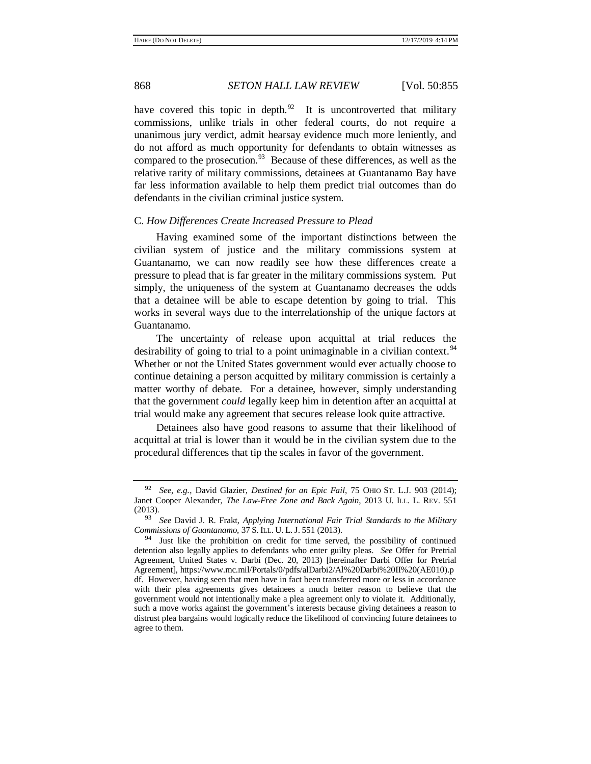have covered this topic in depth. $92$  It is uncontroverted that military commissions, unlike trials in other federal courts, do not require a unanimous jury verdict, admit hearsay evidence much more leniently, and do not afford as much opportunity for defendants to obtain witnesses as compared to the prosecution.<sup>93</sup> Because of these differences, as well as the relative rarity of military commissions, detainees at Guantanamo Bay have far less information available to help them predict trial outcomes than do defendants in the civilian criminal justice system.

### C. *How Differences Create Increased Pressure to Plead*

Having examined some of the important distinctions between the civilian system of justice and the military commissions system at Guantanamo, we can now readily see how these differences create a pressure to plead that is far greater in the military commissions system. Put simply, the uniqueness of the system at Guantanamo decreases the odds that a detainee will be able to escape detention by going to trial. This works in several ways due to the interrelationship of the unique factors at Guantanamo.

<span id="page-13-0"></span>The uncertainty of release upon acquittal at trial reduces the desirability of going to trial to a point unimaginable in a civilian context.<sup>94</sup> Whether or not the United States government would ever actually choose to continue detaining a person acquitted by military commission is certainly a matter worthy of debate. For a detainee, however, simply understanding that the government *could* legally keep him in detention after an acquittal at trial would make any agreement that secures release look quite attractive.

Detainees also have good reasons to assume that their likelihood of acquittal at trial is lower than it would be in the civilian system due to the procedural differences that tip the scales in favor of the government.

<span id="page-13-1"></span>

<sup>92</sup> *See*, *e.g.*, David Glazier, *Destined for an Epic Fail*, 75 OHIO ST. L.J. 903 (2014); Janet Cooper Alexander, *The Law-Free Zone and Back Again*, 2013 U. ILL. L. REV. 551 (2013).

<sup>93</sup> *See* David J. R. Frakt, *Applying International Fair Trial Standards to the Military Commissions of Guantanamo,* 37 S. ILL. U. L. J. 551 (2013).

 $94$  Just like the prohibition on credit for time served, the possibility of continued detention also legally applies to defendants who enter guilty pleas. *See* Offer for Pretrial Agreement, United States v. Darbi (Dec. 20, 2013) [hereinafter Darbi Offer for Pretrial Agreement], https://www.mc.mil/Portals/0/pdfs/alDarbi2/Al%20Darbi%20II%20(AE010).p df. However, having seen that men have in fact been transferred more or less in accordance with their plea agreements gives detainees a much better reason to believe that the government would not intentionally make a plea agreement only to violate it. Additionally, such a move works against the government's interests because giving detainees a reason to distrust plea bargains would logically reduce the likelihood of convincing future detainees to agree to them.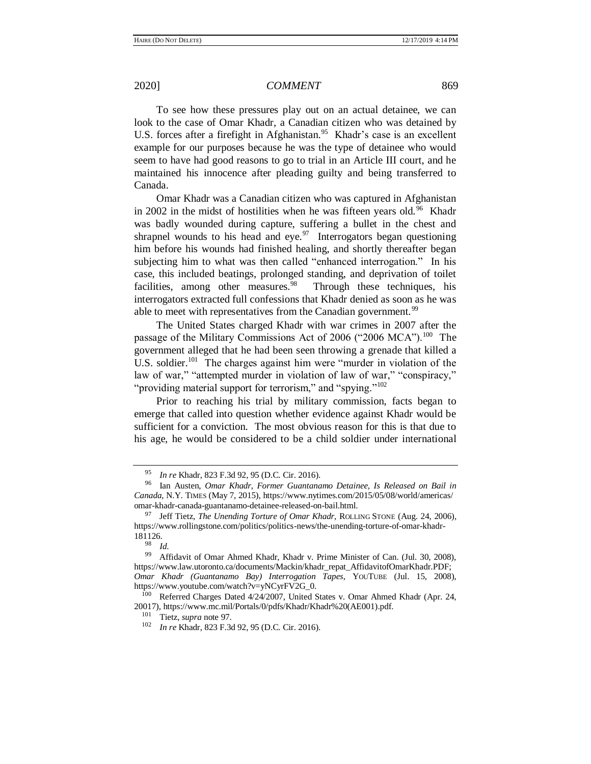To see how these pressures play out on an actual detainee, we can look to the case of Omar Khadr, a Canadian citizen who was detained by U.S. forces after a firefight in Afghanistan.<sup>95</sup> Khadr's case is an excellent example for our purposes because he was the type of detainee who would seem to have had good reasons to go to trial in an Article III court, and he maintained his innocence after pleading guilty and being transferred to Canada.

<span id="page-14-1"></span><span id="page-14-0"></span>Omar Khadr was a Canadian citizen who was captured in Afghanistan in 2002 in the midst of hostilities when he was fifteen years old.<sup>96</sup> Khadr was badly wounded during capture, suffering a bullet in the chest and shrapnel wounds to his head and eye. $\frac{97}{10}$  Interrogators began questioning him before his wounds had finished healing, and shortly thereafter began subjecting him to what was then called "enhanced interrogation." In his case, this included beatings, prolonged standing, and deprivation of toilet facilities, among other measures.<sup>98</sup> Through these techniques, his interrogators extracted full confessions that Khadr denied as soon as he was able to meet with representatives from the Canadian government.<sup>99</sup>

The United States charged Khadr with war crimes in 2007 after the passage of the Military Commissions Act of 2006 ("2006 MCA").<sup>100</sup> The government alleged that he had been seen throwing a grenade that killed a U.S. soldier.<sup>101</sup> The charges against him were "murder in violation of the law of war," "attempted murder in violation of law of war," "conspiracy," "providing material support for terrorism," and "spying."<sup>102</sup>

Prior to reaching his trial by military commission, facts began to emerge that called into question whether evidence against Khadr would be sufficient for a conviction. The most obvious reason for this is that due to his age, he would be considered to be a child soldier under international

<sup>95</sup> *In re* Khadr, 823 F.3d 92, 95 (D.C. Cir. 2016).

<sup>96</sup> Ian Austen, *Omar Khadr, Former Guantanamo Detainee, Is Released on Bail in Canada*, N.Y. TIMES (May 7, 2015), https://www.nytimes.com/2015/05/08/world/americas/ omar-khadr-canada-guantanamo-detainee-released-on-bail.html.

<sup>97</sup> Jeff Tietz, *The Unending Torture of Omar Khadr*, ROLLING STONE (Aug. 24, 2006), https://www.rollingstone.com/politics/politics-news/the-unending-torture-of-omar-khadr- $181126.$ 

 $\frac{98}{99}$  *Id.* 

Affidavit of Omar Ahmed Khadr, Khadr v. Prime Minister of Can. (Jul. 30, 2008), https://www.law.utoronto.ca/documents/Mackin/khadr\_repat\_AffidavitofOmarKhadr.PDF; *Omar Khadr (Guantanamo Bay) Interrogation Tapes*, YOUTUBE (Jul. 15, 2008), https://www.youtube.com/watch?v=yNCyrFV2G\_0.

<sup>100</sup> Referred Charges Dated 4/24/2007, United States v. Omar Ahmed Khadr (Apr. 24, 20017), https://www.mc.mil/Portals/0/pdfs/Khadr/Khadr%20(AE001).pdf.

<sup>101</sup> Tietz, *supra* not[e 97.](#page-14-0)

<sup>102</sup> *In re* Khadr, 823 F.3d 92, 95 (D.C. Cir. 2016).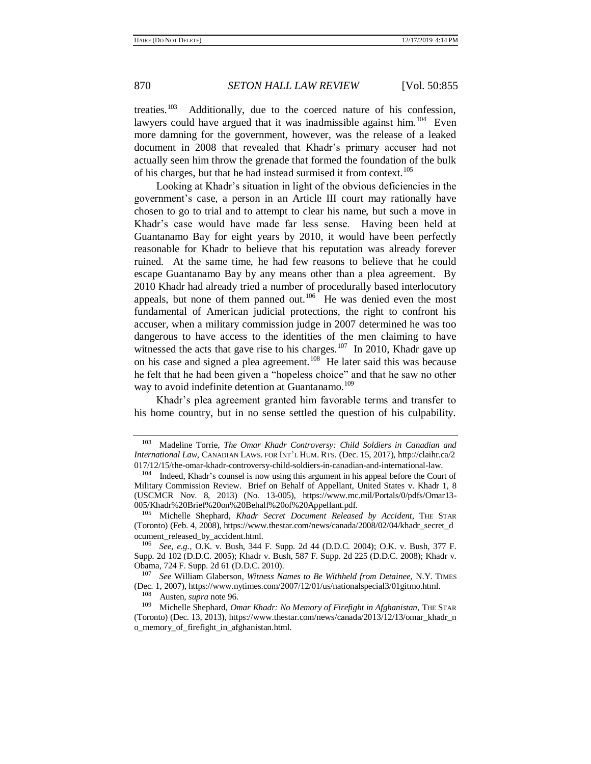treaties. $103$  Additionally, due to the coerced nature of his confession, lawyers could have argued that it was inadmissible against him.<sup>104</sup> Even more damning for the government, however, was the release of a leaked document in 2008 that revealed that Khadr's primary accuser had not actually seen him throw the grenade that formed the foundation of the bulk of his charges, but that he had instead surmised it from context.<sup>105</sup>

Looking at Khadr's situation in light of the obvious deficiencies in the government's case, a person in an Article III court may rationally have chosen to go to trial and to attempt to clear his name, but such a move in Khadr's case would have made far less sense. Having been held at Guantanamo Bay for eight years by 2010, it would have been perfectly reasonable for Khadr to believe that his reputation was already forever ruined. At the same time, he had few reasons to believe that he could escape Guantanamo Bay by any means other than a plea agreement. By 2010 Khadr had already tried a number of procedurally based interlocutory appeals, but none of them panned out.<sup>106</sup> He was denied even the most fundamental of American judicial protections, the right to confront his accuser, when a military commission judge in 2007 determined he was too dangerous to have access to the identities of the men claiming to have witnessed the acts that gave rise to his charges. $107$  In 2010, Khadr gave up on his case and signed a plea agreement.<sup>108</sup> He later said this was because he felt that he had been given a "hopeless choice" and that he saw no other way to avoid indefinite detention at Guantanamo.<sup>109</sup>

<span id="page-15-0"></span>Khadr's plea agreement granted him favorable terms and transfer to his home country, but in no sense settled the question of his culpability.

<sup>103</sup> Madeline Torrie, *The Omar Khadr Controversy: Child Soldiers in Canadian and International Law*, CANADIAN LAWS. FOR INT'L HUM. RTS. (Dec. 15, 2017), http://claihr.ca/2 017/12/15/the-omar-khadr-controversy-child-soldiers-in-canadian-and-international-law.

<sup>&</sup>lt;sup>104</sup> Indeed, Khadr's counsel is now using this argument in his appeal before the Court of Military Commission Review. Brief on Behalf of Appellant, United States v. Khadr 1, 8 (USCMCR Nov. 8, 2013) (No. 13-005), https://www.mc.mil/Portals/0/pdfs/Omar13- 005/Khadr%20Brief%20on%20Behalf%20of%20Appellant.pdf.

<sup>105</sup> Michelle Shephard, *Khadr Secret Document Released by Accident*, THE STAR (Toronto) (Feb. 4, 2008), https://www.thestar.com/news/canada/2008/02/04/khadr\_secret\_d ocument\_released\_by\_accident.html.

<sup>106</sup> *See*, *e.g.*, O.K. v. Bush, 344 F. Supp. 2d 44 (D.D.C. 2004); O.K. v. Bush, 377 F. Supp. 2d 102 (D.D.C. 2005); Khadr v. Bush, 587 F. Supp. 2d 225 (D.D.C. 2008); Khadr v. Obama, 724 F. Supp. 2d 61 (D.D.C. 2010).

<sup>107</sup> *See* William Glaberson, *Witness Names to Be Withheld from Detainee,* N.Y. TIMES (Dec. 1, 2007), https://www.nytimes.com/2007/12/01/us/nationalspecial3/01gitmo.html.

<sup>108</sup> Austen, *supra* note [96.](#page-14-1)

<sup>109</sup> Michelle Shephard, *Omar Khadr: No Memory of Firefight in Afghanistan*, THE STAR (Toronto) (Dec. 13, 2013), https://www.thestar.com/news/canada/2013/12/13/omar\_khadr\_n o\_memory\_of\_firefight\_in\_afghanistan.html.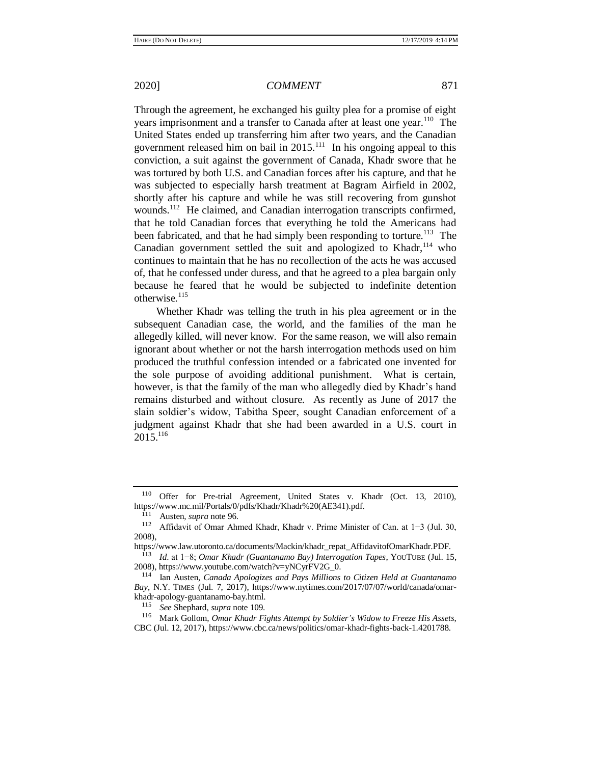Through the agreement, he exchanged his guilty plea for a promise of eight years imprisonment and a transfer to Canada after at least one year.<sup>110</sup> The United States ended up transferring him after two years, and the Canadian government released him on bail in  $2015$ .<sup>111</sup> In his ongoing appeal to this conviction, a suit against the government of Canada, Khadr swore that he was tortured by both U.S. and Canadian forces after his capture, and that he was subjected to especially harsh treatment at Bagram Airfield in 2002, shortly after his capture and while he was still recovering from gunshot wounds.<sup>112</sup> He claimed, and Canadian interrogation transcripts confirmed, that he told Canadian forces that everything he told the Americans had been fabricated, and that he had simply been responding to torture.<sup>113</sup> The Canadian government settled the suit and apologized to Khadr,  $114$  who continues to maintain that he has no recollection of the acts he was accused of, that he confessed under duress, and that he agreed to a plea bargain only because he feared that he would be subjected to indefinite detention otherwise.<sup>115</sup>

Whether Khadr was telling the truth in his plea agreement or in the subsequent Canadian case, the world, and the families of the man he allegedly killed, will never know. For the same reason, we will also remain ignorant about whether or not the harsh interrogation methods used on him produced the truthful confession intended or a fabricated one invented for the sole purpose of avoiding additional punishment. What is certain, however, is that the family of the man who allegedly died by Khadr's hand remains disturbed and without closure. As recently as June of 2017 the slain soldier's widow, Tabitha Speer, sought Canadian enforcement of a judgment against Khadr that she had been awarded in a U.S. court in 2015.<sup>116</sup>

<sup>110</sup> Offer for Pre-trial Agreement, United States v. Khadr (Oct. 13, 2010), https://www.mc.mil/Portals/0/pdfs/Khadr/Khadr%20(AE341).pdf.

<sup>&</sup>lt;sup>111</sup> Austen, *supra* note [96.](#page-14-1)<br><sup>112</sup> Affidavit of Omar Abi

<sup>112</sup> Affidavit of Omar Ahmed Khadr, Khadr v. Prime Minister of Can. at 1−3 (Jul. 30, 2008),

https://www.law.utoronto.ca/documents/Mackin/khadr\_repat\_AffidavitofOmarKhadr.PDF.

<sup>113</sup> *Id*. at 1−8; *Omar Khadr (Guantanamo Bay) Interrogation Tapes*, YOUTUBE (Jul. 15, 2008), https://www.youtube.com/watch?v=yNCyrFV2G\_0.

<sup>114</sup> Ian Austen, *Canada Apologizes and Pays Millions to Citizen Held at Guantanamo Bay*, N.Y. TIMES (Jul. 7, 2017), https://www.nytimes.com/2017/07/07/world/canada/omarkhadr-apology-guantanamo-bay.html.

<sup>115</sup> *See* Shephard, *supra* note [109.](#page-15-0)

<sup>116</sup> Mark Gollom, *Omar Khadr Fights Attempt by Soldier's Widow to Freeze His Assets*, CBC (Jul. 12, 2017), https://www.cbc.ca/news/politics/omar-khadr-fights-back-1.4201788.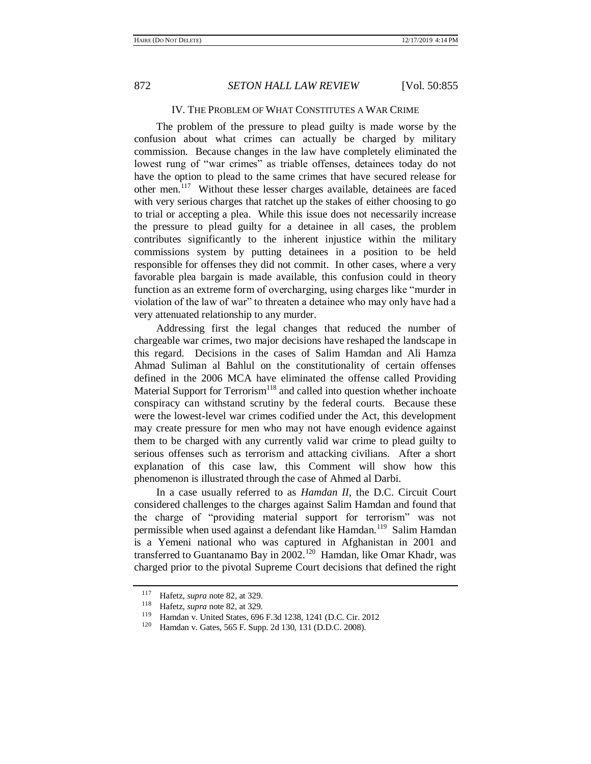### IV. THE PROBLEM OF WHAT CONSTITUTES A WAR CRIME

The problem of the pressure to plead guilty is made worse by the confusion about what crimes can actually be charged by military commission. Because changes in the law have completely eliminated the lowest rung of "war crimes" as triable offenses, detainees today do not have the option to plead to the same crimes that have secured release for other men.<sup>117</sup> Without these lesser charges available, detainees are faced with very serious charges that ratchet up the stakes of either choosing to go to trial or accepting a plea. While this issue does not necessarily increase the pressure to plead guilty for a detainee in all cases, the problem contributes significantly to the inherent injustice within the military commissions system by putting detainees in a position to be held responsible for offenses they did not commit. In other cases, where a very favorable plea bargain is made available, this confusion could in theory function as an extreme form of overcharging, using charges like "murder in violation of the law of war" to threaten a detainee who may only have had a very attenuated relationship to any murder.

Addressing first the legal changes that reduced the number of chargeable war crimes, two major decisions have reshaped the landscape in this regard. Decisions in the cases of Salim Hamdan and Ali Hamza Ahmad Suliman al Bahlul on the constitutionality of certain offenses defined in the 2006 MCA have eliminated the offense called Providing Material Support for Terrorism<sup>118</sup> and called into question whether inchoate conspiracy can withstand scrutiny by the federal courts. Because these were the lowest-level war crimes codified under the Act, this development may create pressure for men who may not have enough evidence against them to be charged with any currently valid war crime to plead guilty to serious offenses such as terrorism and attacking civilians. After a short explanation of this case law, this Comment will show how this phenomenon is illustrated through the case of Ahmed al Darbi.

In a case usually referred to as *Hamdan II*, the D.C. Circuit Court considered challenges to the charges against Salim Hamdan and found that the charge of "providing material support for terrorism" was not permissible when used against a defendant like Hamdan.<sup>119</sup> Salim Hamdan is a Yemeni national who was captured in Afghanistan in 2001 and transferred to Guantanamo Bay in 2002.<sup>120</sup> Hamdan, like Omar Khadr, was charged prior to the pivotal Supreme Court decisions that defined the right

<sup>117</sup> Hafetz, *supra* not[e 82,](#page-11-0) at 329.

<sup>&</sup>lt;sup>118</sup> Hafetz, *supra* not[e 82,](#page-11-0) at 329.

<sup>&</sup>lt;sup>119</sup> Hamdan v. United States, 696 F.3d 1238, 1241 (D.C. Cir. 2012<br><sup>120</sup> Hamdan v. Gates, 565 F. Supp. 2d 130, 131 (D.D.C. 2008)

Hamdan v. Gates, 565 F. Supp. 2d 130, 131 (D.D.C. 2008).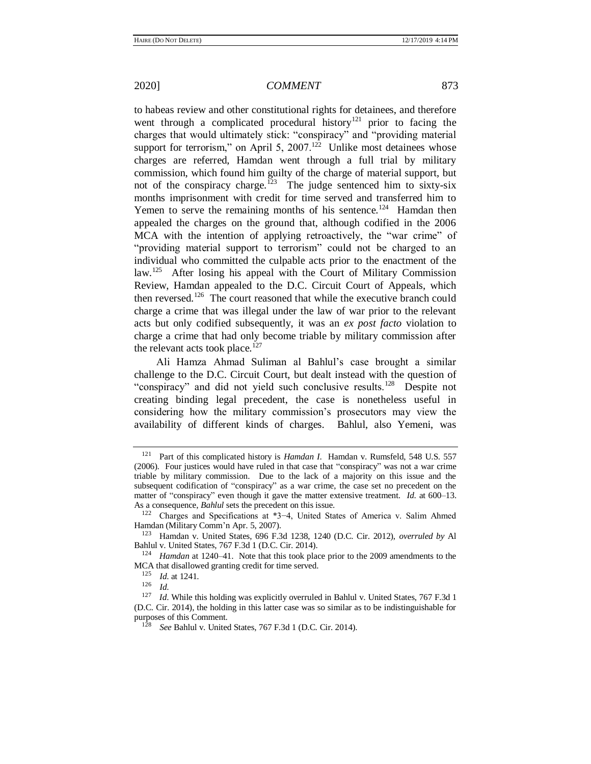to habeas review and other constitutional rights for detainees, and therefore went through a complicated procedural history<sup>121</sup> prior to facing the charges that would ultimately stick: "conspiracy" and "providing material support for terrorism," on April 5, 2007.<sup>122</sup> Unlike most detainees whose charges are referred, Hamdan went through a full trial by military commission, which found him guilty of the charge of material support, but not of the conspiracy charge.<sup>123</sup> The judge sentenced him to sixty-six months imprisonment with credit for time served and transferred him to Yemen to serve the remaining months of his sentence.<sup>124</sup> Hamdan then appealed the charges on the ground that, although codified in the 2006 MCA with the intention of applying retroactively, the "war crime" of "providing material support to terrorism" could not be charged to an individual who committed the culpable acts prior to the enactment of the law.<sup>125</sup> After losing his appeal with the Court of Military Commission Review, Hamdan appealed to the D.C. Circuit Court of Appeals, which then reversed.<sup>126</sup> The court reasoned that while the executive branch could charge a crime that was illegal under the law of war prior to the relevant acts but only codified subsequently, it was an *ex post facto* violation to charge a crime that had only become triable by military commission after the relevant acts took place. $127$ 

Ali Hamza Ahmad Suliman al Bahlul's case brought a similar challenge to the D.C. Circuit Court, but dealt instead with the question of "conspiracy" and did not yield such conclusive results.<sup>128</sup> Despite not creating binding legal precedent, the case is nonetheless useful in considering how the military commission's prosecutors may view the availability of different kinds of charges. Bahlul, also Yemeni, was

<sup>121</sup> Part of this complicated history is *Hamdan I*. Hamdan v. Rumsfeld, 548 U.S. 557 (2006). Four justices would have ruled in that case that "conspiracy" was not a war crime triable by military commission. Due to the lack of a majority on this issue and the subsequent codification of "conspiracy" as a war crime, the case set no precedent on the matter of "conspiracy" even though it gave the matter extensive treatment. *Id*. at 600–13. As a consequence, *Bahlul* sets the precedent on this issue.

<sup>122</sup> Charges and Specifications at \*3−4, United States of America v. Salim Ahmed Hamdan (Military Comm'n Apr. 5, 2007).

<sup>123</sup> Hamdan v. United States, 696 F.3d 1238, 1240 (D.C. Cir. 2012), *overruled by* Al Bahlul v. United States, 767 F.3d 1 (D.C. Cir. 2014).

<sup>124</sup> *Hamdan* at 1240–41. Note that this took place prior to the 2009 amendments to the MCA that disallowed granting credit for time served.

 $\frac{125}{126}$  *Id.* at 1241.

 $\frac{126}{127}$  *Id.* 

*Id.* While this holding was explicitly overruled in Bahlul v. United States, 767 F.3d 1 (D.C. Cir. 2014), the holding in this latter case was so similar as to be indistinguishable for purposes of this Comment.

<sup>128</sup> *See* Bahlul v. United States, 767 F.3d 1 (D.C. Cir. 2014).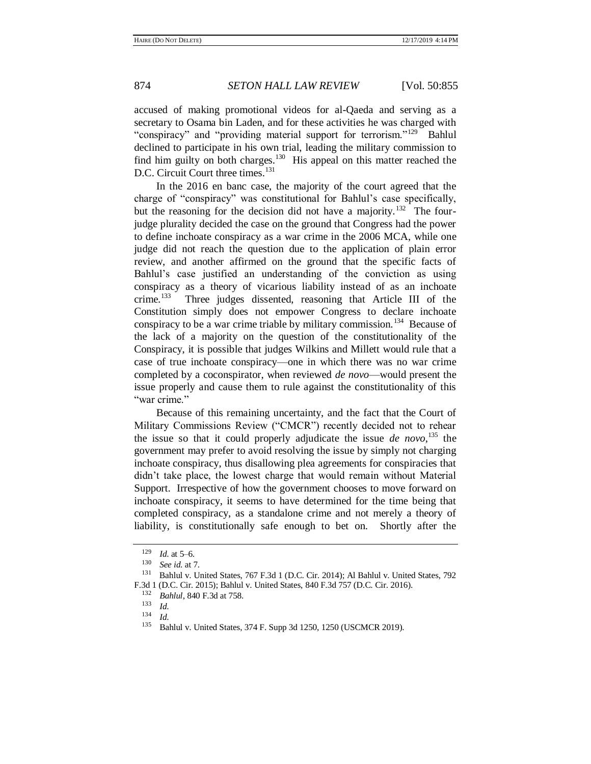accused of making promotional videos for al-Qaeda and serving as a secretary to Osama bin Laden, and for these activities he was charged with "conspiracy" and "providing material support for terrorism."<sup>129</sup> Bahlul declined to participate in his own trial, leading the military commission to find him guilty on both charges.<sup>130</sup> His appeal on this matter reached the D.C. Circuit Court three times.<sup>131</sup>

In the 2016 en banc case, the majority of the court agreed that the charge of "conspiracy" was constitutional for Bahlul's case specifically, but the reasoning for the decision did not have a majority.<sup>132</sup> The fourjudge plurality decided the case on the ground that Congress had the power to define inchoate conspiracy as a war crime in the 2006 MCA, while one judge did not reach the question due to the application of plain error review, and another affirmed on the ground that the specific facts of Bahlul's case justified an understanding of the conviction as using conspiracy as a theory of vicarious liability instead of as an inchoate crime. $133$  Three judges dissented, reasoning that Article III of the Constitution simply does not empower Congress to declare inchoate conspiracy to be a war crime triable by military commission.<sup>134</sup> Because of the lack of a majority on the question of the constitutionality of the Conspiracy, it is possible that judges Wilkins and Millett would rule that a case of true inchoate conspiracy—one in which there was no war crime completed by a coconspirator, when reviewed *de novo*—would present the issue properly and cause them to rule against the constitutionality of this "war crime."

Because of this remaining uncertainty, and the fact that the Court of Military Commissions Review ("CMCR") recently decided not to rehear the issue so that it could properly adjudicate the issue *de novo*, <sup>135</sup> the government may prefer to avoid resolving the issue by simply not charging inchoate conspiracy, thus disallowing plea agreements for conspiracies that didn't take place, the lowest charge that would remain without Material Support. Irrespective of how the government chooses to move forward on inchoate conspiracy, it seems to have determined for the time being that completed conspiracy, as a standalone crime and not merely a theory of liability, is constitutionally safe enough to bet on. Shortly after the

 $\frac{129}{130}$  *Id.* at 5–6.

<sup>130</sup> *See id*. at 7.

<sup>131</sup> Bahlul v. United States, 767 F.3d 1 (D.C. Cir. 2014); Al Bahlul v. United States, 792 F.3d 1 (D.C. Cir. 2015); Bahlul v. United States, 840 F.3d 757 (D.C. Cir. 2016).

<sup>132</sup> *Bahlul*, 840 F.3d at 758.

 $\frac{133}{134}$  *Id.* 

 $\frac{134}{135}$  *Id.* 

<sup>135</sup> Bahlul v. United States, 374 F. Supp 3d 1250, 1250 (USCMCR 2019).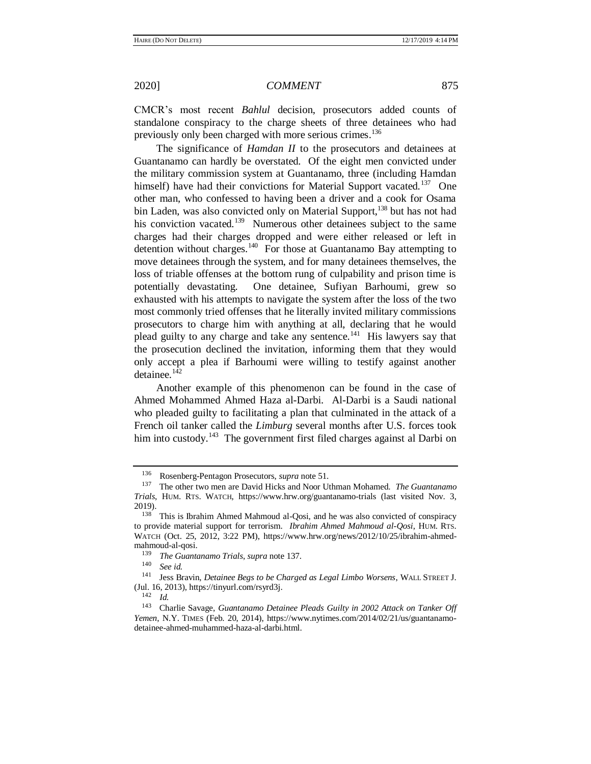CMCR's most recent *Bahlul* decision, prosecutors added counts of standalone conspiracy to the charge sheets of three detainees who had previously only been charged with more serious crimes.<sup>136</sup>

The significance of *Hamdan II* to the prosecutors and detainees at Guantanamo can hardly be overstated. Of the eight men convicted under the military commission system at Guantanamo, three (including Hamdan himself) have had their convictions for Material Support vacated.<sup>137</sup> One other man, who confessed to having been a driver and a cook for Osama bin Laden, was also convicted only on Material Support,<sup>138</sup> but has not had his conviction vacated.<sup>139</sup> Numerous other detainees subject to the same charges had their charges dropped and were either released or left in detention without charges.<sup>140</sup> For those at Guantanamo Bay attempting to move detainees through the system, and for many detainees themselves, the loss of triable offenses at the bottom rung of culpability and prison time is potentially devastating. One detainee, Sufiyan Barhoumi, grew so exhausted with his attempts to navigate the system after the loss of the two most commonly tried offenses that he literally invited military commissions prosecutors to charge him with anything at all, declaring that he would plead guilty to any charge and take any sentence.<sup>141</sup> His lawyers say that the prosecution declined the invitation, informing them that they would only accept a plea if Barhoumi were willing to testify against another detainee. $142$ 

Another example of this phenomenon can be found in the case of Ahmed Mohammed Ahmed Haza al-Darbi. Al-Darbi is a Saudi national who pleaded guilty to facilitating a plan that culminated in the attack of a French oil tanker called the *Limburg* several months after U.S. forces took him into custody.<sup>143</sup> The government first filed charges against al Darbi on

See *id.* 

 $\frac{142}{143}$  *Id.* 

<span id="page-20-0"></span>

<sup>136</sup> Rosenberg-Pentagon Prosecutors, *supra* not[e 51.](#page-7-0) 

<sup>137</sup> The other two men are David Hicks and Noor Uthman Mohamed. *The Guantanamo Trials*, HUM. RTS. WATCH, https://www.hrw.org/guantanamo-trials (last visited Nov. 3,  $2019$ ).

This is Ibrahim Ahmed Mahmoud al-Qosi, and he was also convicted of conspiracy to provide material support for terrorism. *Ibrahim Ahmed Mahmoud al-Qosi*, HUM. RTS. WATCH (Oct. 25, 2012, 3:22 PM), https://www.hrw.org/news/2012/10/25/ibrahim-ahmedmahmoud-al-qosi.

<sup>139</sup> *The Guantanamo Trials*, *supra* note [137.](#page-20-0)

<sup>141</sup> Jess Bravin, *Detainee Begs to be Charged as Legal Limbo Worsens*, WALL STREET J. (Jul. 16, 2013), https://tinyurl.com/rsyrd3j.

<sup>143</sup> Charlie Savage, *Guantanamo Detainee Pleads Guilty in 2002 Attack on Tanker Off Yemen*, N.Y. TIMES (Feb. 20, 2014), https://www.nytimes.com/2014/02/21/us/guantanamodetainee-ahmed-muhammed-haza-al-darbi.html.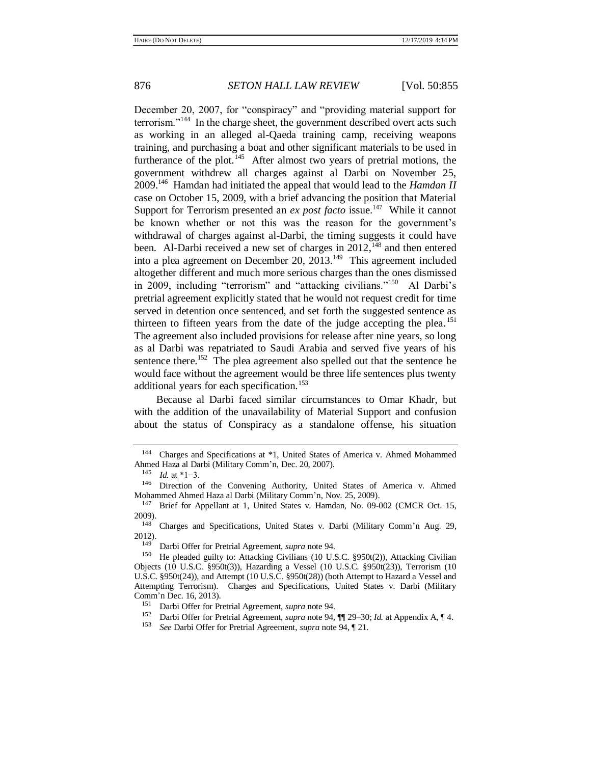December 20, 2007, for "conspiracy" and "providing material support for terrorism."<sup>144</sup> In the charge sheet, the government described overt acts such as working in an alleged al-Qaeda training camp, receiving weapons training, and purchasing a boat and other significant materials to be used in furtherance of the plot.<sup>145</sup> After almost two years of pretrial motions, the government withdrew all charges against al Darbi on November 25, 2009.<sup>146</sup> Hamdan had initiated the appeal that would lead to the *Hamdan II*  case on October 15, 2009, with a brief advancing the position that Material Support for Terrorism presented an *ex post facto* issue.<sup>147</sup> While it cannot be known whether or not this was the reason for the government's withdrawal of charges against al-Darbi, the timing suggests it could have been. Al-Darbi received a new set of charges in  $2012$ ,<sup>148</sup> and then entered into a plea agreement on December 20,  $2013.^{149}$  This agreement included altogether different and much more serious charges than the ones dismissed in 2009, including "terrorism" and "attacking civilians."<sup>150</sup> Al Darbi's pretrial agreement explicitly stated that he would not request credit for time served in detention once sentenced, and set forth the suggested sentence as thirteen to fifteen years from the date of the judge accepting the plea.<sup>151</sup> The agreement also included provisions for release after nine years, so long as al Darbi was repatriated to Saudi Arabia and served five years of his sentence there.<sup>152</sup> The plea agreement also spelled out that the sentence he would face without the agreement would be three life sentences plus twenty additional years for each specification.<sup>153</sup>

Because al Darbi faced similar circumstances to Omar Khadr, but with the addition of the unavailability of Material Support and confusion about the status of Conspiracy as a standalone offense, his situation

<sup>144</sup> Charges and Specifications at \*1, United States of America v. Ahmed Mohammed Ahmed Haza al Darbi (Military Comm'n, Dec. 20, 2007).

<sup>145</sup> *Id.* at \*1−3.

<sup>146</sup> Direction of the Convening Authority, United States of America v. Ahmed Mohammed Ahmed Haza al Darbi (Military Comm'n, Nov. 25, 2009).<br><sup>147</sup> Brief for Appellant at 1 United States v. Hamdan, No. 09.0

Brief for Appellant at 1, United States v. Hamdan, No. 09-002 (CMCR Oct. 15, 2009).

<sup>&</sup>lt;sup>148</sup> Charges and Specifications, United States v. Darbi (Military Comm'n Aug. 29,  $2012$ ).

<sup>149</sup> Darbi Offer for Pretrial Agreement, *supra* not[e 94.](#page-13-0)

He pleaded guilty to: Attacking Civilians (10 U.S.C. §950t(2)), Attacking Civilian Objects (10 U.S.C. §950t(3)), Hazarding a Vessel (10 U.S.C. §950t(23)), Terrorism (10 U.S.C. §950t(24)), and Attempt (10 U.S.C. §950t(28)) (both Attempt to Hazard a Vessel and Attempting Terrorism). Charges and Specifications, United States v. Darbi (Military Comm'n Dec. 16, 2013).

<sup>151</sup> Darbi Offer for Pretrial Agreement, *supra* not[e 94.](#page-13-0)

<sup>152</sup> Darbi Offer for Pretrial Agreement, *supra* not[e 94,](#page-13-0) ¶¶ 29–30; *Id.* at Appendix A, ¶ 4.

<sup>153</sup> *See* Darbi Offer for Pretrial Agreement, *supra* not[e 94,](#page-13-0) ¶ 21.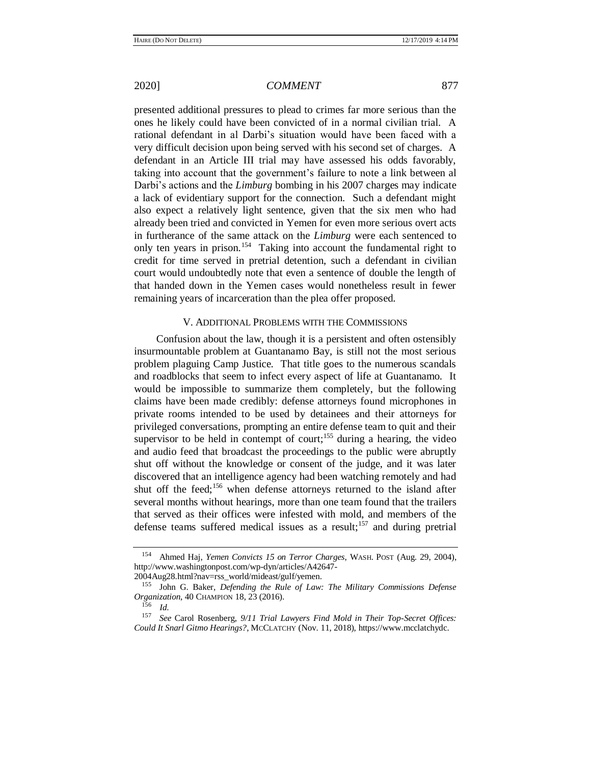presented additional pressures to plead to crimes far more serious than the ones he likely could have been convicted of in a normal civilian trial. A rational defendant in al Darbi's situation would have been faced with a very difficult decision upon being served with his second set of charges. A defendant in an Article III trial may have assessed his odds favorably, taking into account that the government's failure to note a link between al Darbi's actions and the *Limburg* bombing in his 2007 charges may indicate a lack of evidentiary support for the connection. Such a defendant might also expect a relatively light sentence, given that the six men who had already been tried and convicted in Yemen for even more serious overt acts in furtherance of the same attack on the *Limburg* were each sentenced to only ten years in prison.<sup>154</sup> Taking into account the fundamental right to credit for time served in pretrial detention, such a defendant in civilian court would undoubtedly note that even a sentence of double the length of that handed down in the Yemen cases would nonetheless result in fewer remaining years of incarceration than the plea offer proposed.

## <span id="page-22-0"></span>V. ADDITIONAL PROBLEMS WITH THE COMMISSIONS

Confusion about the law, though it is a persistent and often ostensibly insurmountable problem at Guantanamo Bay, is still not the most serious problem plaguing Camp Justice. That title goes to the numerous scandals and roadblocks that seem to infect every aspect of life at Guantanamo. It would be impossible to summarize them completely, but the following claims have been made credibly: defense attorneys found microphones in private rooms intended to be used by detainees and their attorneys for privileged conversations, prompting an entire defense team to quit and their supervisor to be held in contempt of court;<sup>155</sup> during a hearing, the video and audio feed that broadcast the proceedings to the public were abruptly shut off without the knowledge or consent of the judge, and it was later discovered that an intelligence agency had been watching remotely and had shut off the feed;<sup>156</sup> when defense attorneys returned to the island after several months without hearings, more than one team found that the trailers that served as their offices were infested with mold, and members of the defense teams suffered medical issues as a result;<sup>157</sup> and during pretrial

2004Aug28.html?nav=rss\_world/mideast/gulf/yemen.

<sup>154</sup> Ahmed Haj, *Yemen Convicts 15 on Terror Charges*, WASH. POST (Aug. 29, 2004), http://www.washingtonpost.com/wp-dyn/articles/A42647-

<sup>155</sup> John G. Baker, *Defending the Rule of Law: The Military Commissions Defense Organization*, 40 CHAMPION 18, 23 (2016).

 $\frac{156}{157}$  *Id.* 

<sup>157</sup> *See* Carol Rosenberg, *9/11 Trial Lawyers Find Mold in Their Top-Secret Offices: Could It Snarl Gitmo Hearings?*, MCCLATCHY (Nov. 11, 2018), https://www.mcclatchydc.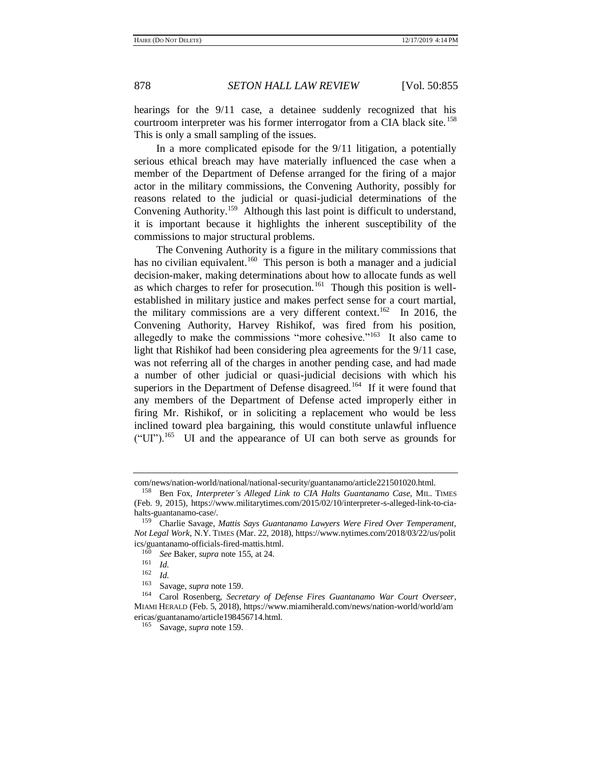hearings for the 9/11 case, a detainee suddenly recognized that his courtroom interpreter was his former interrogator from a CIA black site.<sup>158</sup> This is only a small sampling of the issues.

In a more complicated episode for the 9/11 litigation, a potentially serious ethical breach may have materially influenced the case when a member of the Department of Defense arranged for the firing of a major actor in the military commissions, the Convening Authority, possibly for reasons related to the judicial or quasi-judicial determinations of the Convening Authority.<sup>159</sup> Although this last point is difficult to understand, it is important because it highlights the inherent susceptibility of the commissions to major structural problems.

<span id="page-23-0"></span>The Convening Authority is a figure in the military commissions that has no civilian equivalent.<sup>160</sup> This person is both a manager and a judicial decision-maker, making determinations about how to allocate funds as well as which charges to refer for prosecution.<sup>161</sup> Though this position is wellestablished in military justice and makes perfect sense for a court martial, the military commissions are a very different context.<sup>162</sup> In 2016, the Convening Authority, Harvey Rishikof, was fired from his position, allegedly to make the commissions "more cohesive."<sup>163</sup> It also came to light that Rishikof had been considering plea agreements for the 9/11 case, was not referring all of the charges in another pending case, and had made a number of other judicial or quasi-judicial decisions with which his superiors in the Department of Defense disagreed.<sup>164</sup> If it were found that any members of the Department of Defense acted improperly either in firing Mr. Rishikof, or in soliciting a replacement who would be less inclined toward plea bargaining, this would constitute unlawful influence  $("UI")$ <sup>165</sup> UI and the appearance of UI can both serve as grounds for

com/news/nation-world/national/national-security/guantanamo/article221501020.html.

<sup>158</sup> Ben Fox, *Interpreter's Alleged Link to CIA Halts Guantanamo Case*, MIL. TIMES (Feb. 9, 2015), https://www.militarytimes.com/2015/02/10/interpreter-s-alleged-link-to-ciahalts-guantanamo-case/.

<sup>159</sup> Charlie Savage, *Mattis Says Guantanamo Lawyers Were Fired Over Temperament, Not Legal Work*, N.Y. TIMES (Mar. 22, 2018), https://www.nytimes.com/2018/03/22/us/polit ics/guantanamo-officials-fired-mattis.html.<br> $\frac{160}{160}$  See Peker, gunze note 155, et 24.

<sup>160</sup> *See* Baker, *supra* not[e 155,](#page-22-0) at 24.

 $\frac{161}{162}$  *Id.* 

 $\frac{162}{163}$  *Id.* 

Savage, *supra* not[e 159.](#page-23-0)

<sup>164</sup> Carol Rosenberg, *Secretary of Defense Fires Guantanamo War Court Overseer*, MIAMI HERALD (Feb. 5, 2018), https://www.miamiherald.com/news/nation-world/world/am ericas/guantanamo/article198456714.html.

<sup>165</sup> Savage, *supra* not[e 159.](#page-23-0)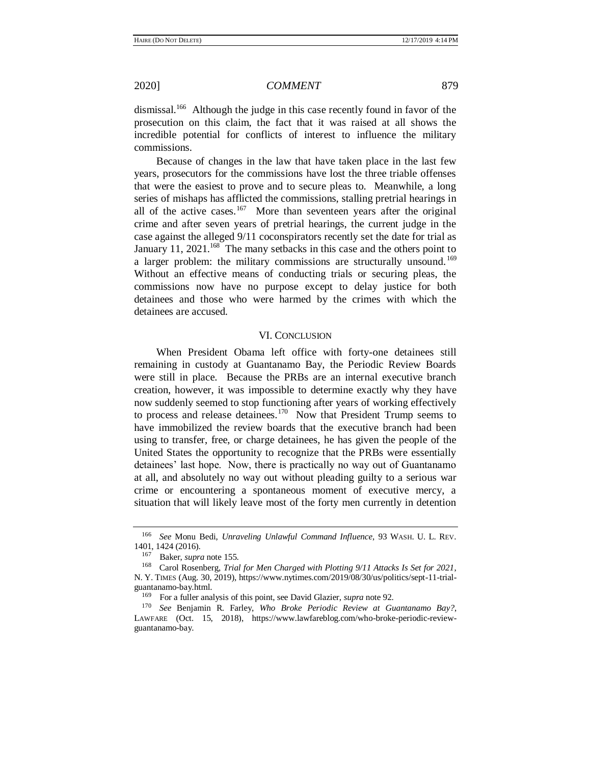dismissal.<sup>166</sup> Although the judge in this case recently found in favor of the prosecution on this claim, the fact that it was raised at all shows the incredible potential for conflicts of interest to influence the military commissions.

Because of changes in the law that have taken place in the last few years, prosecutors for the commissions have lost the three triable offenses that were the easiest to prove and to secure pleas to. Meanwhile, a long series of mishaps has afflicted the commissions, stalling pretrial hearings in all of the active cases.<sup>167</sup> More than seventeen years after the original crime and after seven years of pretrial hearings, the current judge in the case against the alleged 9/11 coconspirators recently set the date for trial as January 11, 2021.<sup>168</sup> The many setbacks in this case and the others point to a larger problem: the military commissions are structurally unsound.<sup>169</sup> Without an effective means of conducting trials or securing pleas, the commissions now have no purpose except to delay justice for both detainees and those who were harmed by the crimes with which the detainees are accused.

### VI. CONCLUSION

When President Obama left office with forty-one detainees still remaining in custody at Guantanamo Bay, the Periodic Review Boards were still in place. Because the PRBs are an internal executive branch creation, however, it was impossible to determine exactly why they have now suddenly seemed to stop functioning after years of working effectively to process and release detainees.<sup>170</sup> Now that President Trump seems to have immobilized the review boards that the executive branch had been using to transfer, free, or charge detainees, he has given the people of the United States the opportunity to recognize that the PRBs were essentially detainees' last hope. Now, there is practically no way out of Guantanamo at all, and absolutely no way out without pleading guilty to a serious war crime or encountering a spontaneous moment of executive mercy, a situation that will likely leave most of the forty men currently in detention

<sup>166</sup> *See* Monu Bedi, *Unraveling Unlawful Command Influence*, 93 WASH. U. L. REV. 1401, 1424 (2016).<br> $167$  Peker supr

Baker, *supra* not[e 155.](#page-22-0)

<sup>168</sup> Carol Rosenberg, *Trial for Men Charged with Plotting 9/11 Attacks Is Set for 2021*, N. Y. TIMES (Aug. 30, 2019), https://www.nytimes.com/2019/08/30/us/politics/sept-11-trialguantanamo-bay.html.<br> $^{169}$  For a fuller and

<sup>169</sup> For a fuller analysis of this point, see David Glazier, *supra* not[e 92.](#page-13-1) 

<sup>170</sup> *See* Benjamin R. Farley, *Who Broke Periodic Review at Guantanamo Bay?*, LAWFARE (Oct. 15, 2018), https://www.lawfareblog.com/who-broke-periodic-reviewguantanamo-bay.